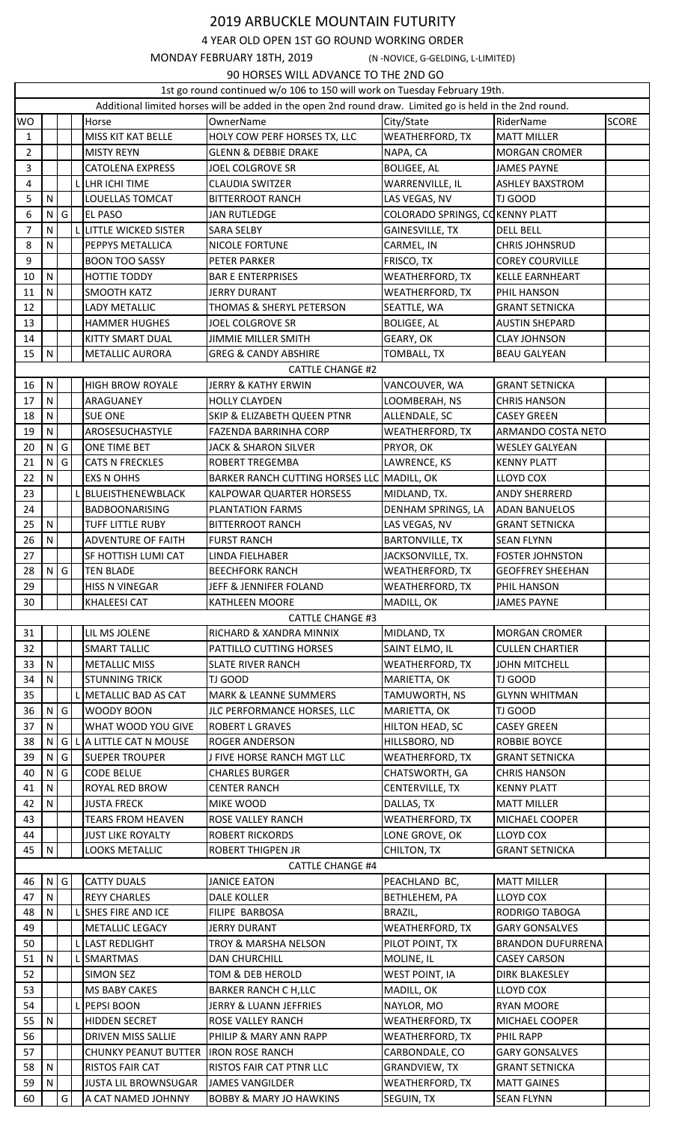## 2019 ARBUCKLE MOUNTAIN FUTURITY

4 YEAR OLD OPEN 1ST GO ROUND WORKING ORDER

MONDAY FEBRUARY 18TH, 2019 (N -NOVICE, G-GELDING, L-LIMITED)

90 HORSES WILL ADVANCE TO THE 2ND GO

|                                                                                                          | 90 HURSES WILL ADVANCE TO THE ZIND GO<br>1st go round continued w/o 106 to 150 will work on Tuesday February 19th. |               |              |                             |                                                         |                                     |                          |              |  |
|----------------------------------------------------------------------------------------------------------|--------------------------------------------------------------------------------------------------------------------|---------------|--------------|-----------------------------|---------------------------------------------------------|-------------------------------------|--------------------------|--------------|--|
| Additional limited horses will be added in the open 2nd round draw. Limited go is held in the 2nd round. |                                                                                                                    |               |              |                             |                                                         |                                     |                          |              |  |
| <b>WO</b>                                                                                                |                                                                                                                    |               |              | Horse                       | OwnerName                                               | City/State                          | RiderName                | <b>SCORE</b> |  |
| $\mathbf{1}$                                                                                             |                                                                                                                    |               |              | MISS KIT KAT BELLE          | HOLY COW PERF HORSES TX, LLC                            | WEATHERFORD, TX                     | <b>MATT MILLER</b>       |              |  |
| $\overline{2}$                                                                                           |                                                                                                                    |               |              | <b>MISTY REYN</b>           | <b>GLENN &amp; DEBBIE DRAKE</b>                         | NAPA, CA                            | <b>MORGAN CROMER</b>     |              |  |
| 3                                                                                                        |                                                                                                                    |               |              | <b>CATOLENA EXPRESS</b>     | JOEL COLGROVE SR                                        | <b>BOLIGEE, AL</b>                  | <b>JAMES PAYNE</b>       |              |  |
| 4                                                                                                        |                                                                                                                    |               |              | LHR ICHI TIME               | <b>CLAUDIA SWITZER</b>                                  | WARRENVILLE, IL                     | <b>ASHLEY BAXSTROM</b>   |              |  |
| 5                                                                                                        | $\mathsf{N}$                                                                                                       |               |              | LOUELLAS TOMCAT             | <b>BITTERROOT RANCH</b>                                 | LAS VEGAS, NV                       | TJ GOOD                  |              |  |
| 6                                                                                                        |                                                                                                                    | G             |              | <b>EL PASO</b>              | <b>JAN RUTLEDGE</b>                                     | COLORADO SPRINGS, CO KENNY PLATT    |                          |              |  |
|                                                                                                          | $\mathsf{N}$<br>N                                                                                                  |               |              | <b>LITTLE WICKED SISTER</b> |                                                         |                                     |                          |              |  |
| 7                                                                                                        |                                                                                                                    |               |              |                             | <b>SARA SELBY</b>                                       | GAINESVILLE, TX                     | <b>DELL BELL</b>         |              |  |
| 8                                                                                                        | N                                                                                                                  |               |              | PEPPYS METALLICA            | NICOLE FORTUNE                                          | CARMEL, IN                          | <b>CHRIS JOHNSRUD</b>    |              |  |
| 9                                                                                                        |                                                                                                                    |               |              | <b>BOON TOO SASSY</b>       | PETER PARKER                                            | FRISCO, TX                          | <b>COREY COURVILLE</b>   |              |  |
| 10                                                                                                       | $\mathsf{N}$                                                                                                       |               |              | <b>HOTTIE TODDY</b>         | <b>BAR E ENTERPRISES</b>                                | WEATHERFORD, TX                     | <b>KELLE EARNHEART</b>   |              |  |
| 11                                                                                                       | N                                                                                                                  |               |              | <b>SMOOTH KATZ</b>          | <b>JERRY DURANT</b>                                     | <b>WEATHERFORD, TX</b>              | PHIL HANSON              |              |  |
| 12                                                                                                       |                                                                                                                    |               |              | <b>LADY METALLIC</b>        | THOMAS & SHERYL PETERSON                                | SEATTLE, WA                         | <b>GRANT SETNICKA</b>    |              |  |
| 13                                                                                                       |                                                                                                                    |               |              | <b>HAMMER HUGHES</b>        | JOEL COLGROVE SR                                        | <b>BOLIGEE, AL</b>                  | <b>AUSTIN SHEPARD</b>    |              |  |
| 14                                                                                                       |                                                                                                                    |               |              | KITTY SMART DUAL            | <b>JIMMIE MILLER SMITH</b>                              | GEARY, OK                           | <b>CLAY JOHNSON</b>      |              |  |
| 15                                                                                                       | $\mathsf{N}$                                                                                                       |               |              | <b>METALLIC AURORA</b>      | <b>GREG &amp; CANDY ABSHIRE</b>                         | <b>TOMBALL, TX</b>                  | <b>BEAU GALYEAN</b>      |              |  |
|                                                                                                          |                                                                                                                    |               |              |                             | <b>CATTLE CHANGE #2</b>                                 |                                     |                          |              |  |
| 16                                                                                                       | ${\sf N}$                                                                                                          |               |              | HIGH BROW ROYALE            | <b>JERRY &amp; KATHY ERWIN</b>                          | VANCOUVER, WA                       | <b>GRANT SETNICKA</b>    |              |  |
| 17                                                                                                       | $\mathsf{N}$                                                                                                       |               |              | ARAGUANEY                   | <b>HOLLY CLAYDEN</b>                                    | LOOMBERAH, NS                       | <b>CHRIS HANSON</b>      |              |  |
| 18                                                                                                       | $\mathsf{N}$                                                                                                       |               |              | <b>SUE ONE</b>              | SKIP & ELIZABETH QUEEN PTNR                             | ALLENDALE, SC                       | <b>CASEY GREEN</b>       |              |  |
| 19                                                                                                       | $\mathsf{N}$                                                                                                       |               |              | AROSESUCHASTYLE             | <b>FAZENDA BARRINHA CORP</b>                            | <b>WEATHERFORD, TX</b>              | ARMANDO COSTA NETO       |              |  |
| 20                                                                                                       | $\mathsf{N}$                                                                                                       | G             |              | ONE TIME BET                | <b>JACK &amp; SHARON SILVER</b>                         | PRYOR, OK                           | <b>WESLEY GALYEAN</b>    |              |  |
| 21                                                                                                       | $\mathsf{N}$                                                                                                       | G             |              | <b>CATS N FRECKLES</b>      | <b>ROBERT TREGEMBA</b>                                  | LAWRENCE, KS                        | <b>KENNY PLATT</b>       |              |  |
| 22                                                                                                       | N                                                                                                                  |               |              | <b>EXS N OHHS</b>           | BARKER RANCH CUTTING HORSES LLC MADILL, OK              |                                     | LLOYD COX                |              |  |
| 23                                                                                                       |                                                                                                                    |               |              | BLUEISTHENEWBLACK           | KALPOWAR QUARTER HORSESS                                | MIDLAND, TX.                        | ANDY SHERRERD            |              |  |
| 24                                                                                                       |                                                                                                                    |               |              | <b>BADBOONARISING</b>       | PLANTATION FARMS                                        | DENHAM SPRINGS, LA                  | <b>ADAN BANUELOS</b>     |              |  |
| 25                                                                                                       | $\mathsf{N}$                                                                                                       |               |              | <b>TUFF LITTLE RUBY</b>     | <b>BITTERROOT RANCH</b>                                 | LAS VEGAS, NV                       | <b>GRANT SETNICKA</b>    |              |  |
| 26                                                                                                       | $\mathsf{N}$                                                                                                       |               |              | <b>ADVENTURE OF FAITH</b>   | <b>FURST RANCH</b>                                      | <b>BARTONVILLE, TX</b>              | <b>SEAN FLYNN</b>        |              |  |
| 27                                                                                                       |                                                                                                                    |               |              | SF HOTTISH LUMI CAT         | LINDA FIELHABER                                         | JACKSONVILLE, TX.                   | <b>FOSTER JOHNSTON</b>   |              |  |
| 28                                                                                                       |                                                                                                                    | N G           |              | <b>TEN BLADE</b>            | <b>BEECHFORK RANCH</b>                                  | <b>WEATHERFORD, TX</b>              | <b>GEOFFREY SHEEHAN</b>  |              |  |
| 29                                                                                                       |                                                                                                                    |               |              | <b>HISS N VINEGAR</b>       | JEFF & JENNIFER FOLAND                                  | <b>WEATHERFORD, TX</b>              | PHIL HANSON              |              |  |
| 30                                                                                                       |                                                                                                                    |               |              | <b>KHALEESI CAT</b>         | <b>KATHLEEN MOORE</b>                                   | MADILL, OK                          | <b>JAMES PAYNE</b>       |              |  |
|                                                                                                          |                                                                                                                    |               |              |                             | <b>CATTLE CHANGE #3</b>                                 |                                     |                          |              |  |
| 31                                                                                                       |                                                                                                                    |               |              | LIL MS JOLENE               | RICHARD & XANDRA MINNIX                                 | MIDLAND, TX                         | <b>MORGAN CROMER</b>     |              |  |
| 32                                                                                                       |                                                                                                                    |               |              | <b>SMART TALLIC</b>         | PATTILLO CUTTING HORSES                                 | SAINT ELMO, IL                      | <b>CULLEN CHARTIER</b>   |              |  |
| 33                                                                                                       | $\mathsf{N}$                                                                                                       |               |              | <b>METALLIC MISS</b>        | <b>SLATE RIVER RANCH</b>                                | WEATHERFORD, TX                     | <b>JOHN MITCHELL</b>     |              |  |
| 34                                                                                                       | $\mathsf{N}$                                                                                                       |               |              | <b>STUNNING TRICK</b>       | TJ GOOD                                                 | MARIETTA, OK                        | TJ GOOD                  |              |  |
| 35                                                                                                       |                                                                                                                    |               |              | L METALLIC BAD AS CAT       | <b>MARK &amp; LEANNE SUMMERS</b>                        | TAMUWORTH, NS                       | <b>GLYNN WHITMAN</b>     |              |  |
| 36                                                                                                       | N                                                                                                                  | G             |              | <b>WOODY BOON</b>           | JLC PERFORMANCE HORSES, LLC                             | MARIETTA, OK                        | TJ GOOD                  |              |  |
| 37                                                                                                       | $\mathsf{N}$                                                                                                       |               |              | WHAT WOOD YOU GIVE          | <b>ROBERT L GRAVES</b>                                  | HILTON HEAD, SC                     | <b>CASEY GREEN</b>       |              |  |
| 38                                                                                                       | $\mathsf{N}$                                                                                                       | G             | $\mathbf{I}$ | A LITTLE CAT N MOUSE        | <b>ROGER ANDERSON</b>                                   | HILLSBORO, ND                       | ROBBIE BOYCE             |              |  |
| 39                                                                                                       | N                                                                                                                  | G             |              | <b>SUEPER TROUPER</b>       | J FIVE HORSE RANCH MGT LLC                              | <b>WEATHERFORD, TX</b>              | <b>GRANT SETNICKA</b>    |              |  |
| 40                                                                                                       | ${\sf N}$                                                                                                          | G             |              | <b>CODE BELUE</b>           | <b>CHARLES BURGER</b>                                   | CHATSWORTH, GA                      | <b>CHRIS HANSON</b>      |              |  |
| 41                                                                                                       | $\mathsf{N}$                                                                                                       |               |              | <b>ROYAL RED BROW</b>       | <b>CENTER RANCH</b>                                     | CENTERVILLE, TX                     | <b>KENNY PLATT</b>       |              |  |
| 42                                                                                                       | N                                                                                                                  |               |              | <b>JUSTA FRECK</b>          | MIKE WOOD                                               | DALLAS, TX                          | <b>MATT MILLER</b>       |              |  |
| 43                                                                                                       |                                                                                                                    |               |              | <b>TEARS FROM HEAVEN</b>    | ROSE VALLEY RANCH                                       | <b>WEATHERFORD, TX</b>              | MICHAEL COOPER           |              |  |
| 44                                                                                                       |                                                                                                                    |               |              | <b>JUST LIKE ROYALTY</b>    | <b>ROBERT RICKORDS</b>                                  | LONE GROVE, OK                      | LLOYD COX                |              |  |
| 45                                                                                                       | $\mathsf{N}$                                                                                                       |               |              | LOOKS METALLIC              | ROBERT THIGPEN JR                                       | CHILTON, TX                         | <b>GRANT SETNICKA</b>    |              |  |
| <b>CATTLE CHANGE #4</b>                                                                                  |                                                                                                                    |               |              |                             |                                                         |                                     |                          |              |  |
| 46                                                                                                       | $\mathsf{N}$                                                                                                       | G             |              | <b>CATTY DUALS</b>          | <b>JANICE EATON</b>                                     | PEACHLAND BC,                       | <b>MATT MILLER</b>       |              |  |
| 47                                                                                                       | $\mathsf{N}$                                                                                                       |               |              | <b>REYY CHARLES</b>         | <b>DALE KOLLER</b>                                      | BETHLEHEM, PA                       | LLOYD COX                |              |  |
| 48                                                                                                       | N                                                                                                                  |               |              | SHES FIRE AND ICE           | FILIPE BARBOSA                                          | BRAZIL,                             | RODRIGO TABOGA           |              |  |
| 49                                                                                                       |                                                                                                                    |               |              | METALLIC LEGACY             | <b>JERRY DURANT</b>                                     | <b>WEATHERFORD, TX</b>              | <b>GARY GONSALVES</b>    |              |  |
| 50                                                                                                       |                                                                                                                    |               |              | <b>LAST REDLIGHT</b>        |                                                         |                                     | <b>BRANDON DUFURRENA</b> |              |  |
| 51                                                                                                       | N                                                                                                                  |               |              | <b>SMARTMAS</b>             | <b>TROY &amp; MARSHA NELSON</b><br><b>DAN CHURCHILL</b> | PILOT POINT, TX                     | <b>CASEY CARSON</b>      |              |  |
| 52                                                                                                       |                                                                                                                    |               |              | <b>SIMON SEZ</b>            | TOM & DEB HEROLD                                        | MOLINE, IL<br><b>WEST POINT, IA</b> | <b>DIRK BLAKESLEY</b>    |              |  |
|                                                                                                          |                                                                                                                    |               |              |                             |                                                         |                                     |                          |              |  |
| 53                                                                                                       |                                                                                                                    |               |              | MS BABY CAKES               | <b>BARKER RANCH C H,LLC</b>                             | MADILL, OK                          | LLOYD COX                |              |  |
| 54                                                                                                       |                                                                                                                    |               |              | PEPSI BOON                  | JERRY & LUANN JEFFRIES                                  | NAYLOR, MO                          | <b>RYAN MOORE</b>        |              |  |
| 55                                                                                                       | N                                                                                                                  |               |              | HIDDEN SECRET               | ROSE VALLEY RANCH                                       | WEATHERFORD, TX                     | MICHAEL COOPER           |              |  |
| 56                                                                                                       |                                                                                                                    |               |              | <b>DRIVEN MISS SALLIE</b>   | PHILIP & MARY ANN RAPP                                  | WEATHERFORD, TX                     | PHIL RAPP                |              |  |
| 57                                                                                                       |                                                                                                                    |               |              | <b>CHUNKY PEANUT BUTTER</b> | <b>IRON ROSE RANCH</b>                                  | CARBONDALE, CO                      | <b>GARY GONSALVES</b>    |              |  |
| 58                                                                                                       | ${\sf N}$                                                                                                          |               |              | <b>RISTOS FAIR CAT</b>      | RISTOS FAIR CAT PTNR LLC                                | <b>GRANDVIEW, TX</b>                | <b>GRANT SETNICKA</b>    |              |  |
| 59                                                                                                       | ${\sf N}$                                                                                                          |               |              | JUSTA LIL BROWNSUGAR        | <b>JAMES VANGILDER</b>                                  | <b>WEATHERFORD, TX</b>              | <b>MATT GAINES</b>       |              |  |
| 60                                                                                                       |                                                                                                                    | ${\mathsf G}$ |              | A CAT NAMED JOHNNY          | <b>BOBBY &amp; MARY JO HAWKINS</b>                      | SEGUIN, TX                          | <b>SEAN FLYNN</b>        |              |  |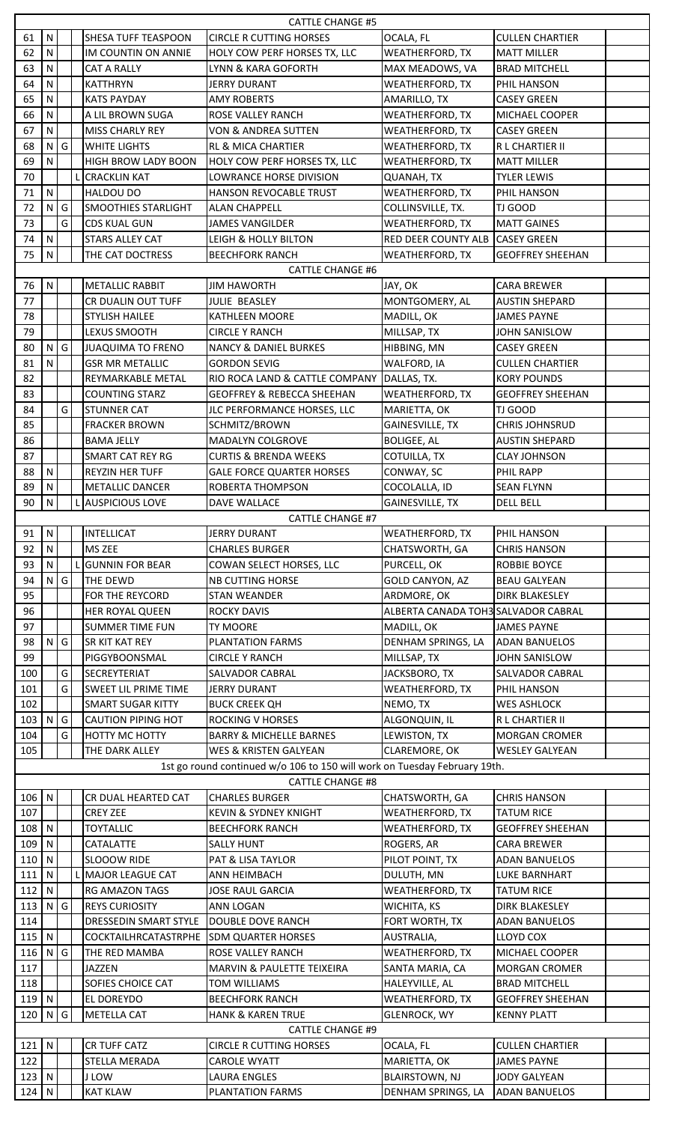| ${\sf N}$<br>SHESA TUFF TEASPOON<br><b>CIRCLE R CUTTING HORSES</b><br>OCALA, FL<br><b>CULLEN CHARTIER</b><br>61<br>62<br>N<br>IM COUNTIN ON ANNIE<br>HOLY COW PERF HORSES TX, LLC<br><b>WEATHERFORD, TX</b><br><b>MATT MILLER</b><br>63<br>N<br>LYNN & KARA GOFORTH<br>MAX MEADOWS, VA<br><b>BRAD MITCHELL</b><br>CAT A RALLY<br>64<br>N<br><b>JERRY DURANT</b><br><b>WEATHERFORD, TX</b><br>PHIL HANSON<br><b>KATTHRYN</b><br>65<br>N<br><b>KATS PAYDAY</b><br><b>AMY ROBERTS</b><br>AMARILLO, TX<br><b>CASEY GREEN</b><br>66<br>N<br>A LIL BROWN SUGA<br>ROSE VALLEY RANCH<br><b>WEATHERFORD, TX</b><br><b>MICHAEL COOPER</b><br>N<br>67<br><b>MISS CHARLY REY</b><br><b>WEATHERFORD, TX</b><br>VON & ANDREA SUTTEN<br><b>CASEY GREEN</b><br>G<br>68<br>N<br><b>WHITE LIGHTS</b><br><b>RL &amp; MICA CHARTIER</b><br><b>WEATHERFORD, TX</b><br>R L CHARTIER II<br>69<br><b>HIGH BROW LADY BOON</b><br>HOLY COW PERF HORSES TX, LLC<br>N<br><b>WEATHERFORD, TX</b><br><b>MATT MILLER</b><br>70<br><b>CRACKLIN KAT</b><br>LOWRANCE HORSE DIVISION<br><b>TYLER LEWIS</b><br><b>QUANAH, TX</b><br>N<br>71<br><b>HALDOU DO</b><br>HANSON REVOCABLE TRUST<br><b>WEATHERFORD, TX</b><br>PHIL HANSON<br>G<br>N<br><b>SMOOTHIES STARLIGHT</b><br>COLLINSVILLE, TX.<br>TJ GOOD<br>72<br><b>ALAN CHAPPELL</b><br>G<br>73<br><b>CDS KUAL GUN</b><br><b>WEATHERFORD, TX</b><br><b>MATT GAINES</b><br>JAMES VANGILDER<br>${\sf N}$<br>RED DEER COUNTY ALB CASEY GREEN<br>74<br><b>LEIGH &amp; HOLLY BILTON</b><br><b>STARS ALLEY CAT</b><br>75<br>N<br>THE CAT DOCTRESS<br><b>BEECHFORK RANCH</b><br><b>WEATHERFORD, TX</b><br><b>GEOFFREY SHEEHAN</b><br><b>CATTLE CHANGE #6</b><br>N<br><b>METALLIC RABBIT</b><br><b>CARA BREWER</b><br>76<br><b>JIM HAWORTH</b><br>JAY, OK<br>77<br>MONTGOMERY, AL<br>CR DUALIN OUT TUFF<br>JULIE BEASLEY<br><b>AUSTIN SHEPARD</b><br>78<br><b>STYLISH HAILEE</b><br><b>KATHLEEN MOORE</b><br>MADILL, OK<br><b>JAMES PAYNE</b><br>79<br>LEXUS SMOOTH<br>CIRCLE Y RANCH<br>MILLSAP, TX<br><b>JOHN SANISLOW</b><br>80<br>G<br>$\mathsf{N}$<br><b>JUAQUIMA TO FRENO</b><br><b>NANCY &amp; DANIEL BURKES</b><br>HIBBING, MN<br><b>CASEY GREEN</b><br>N<br>81<br><b>GSR MR METALLIC</b><br><b>WALFORD, IA</b><br><b>CULLEN CHARTIER</b><br><b>GORDON SEVIG</b><br>82<br>REYMARKABLE METAL<br>RIO ROCA LAND & CATTLE COMPANY<br>DALLAS, TX.<br><b>KORY POUNDS</b><br>83<br><b>COUNTING STARZ</b><br><b>GEOFFREY &amp; REBECCA SHEEHAN</b><br><b>WEATHERFORD, TX</b><br><b>GEOFFREY SHEEHAN</b><br>G<br>84<br><b>STUNNER CAT</b><br>MARIETTA, OK<br>TJ GOOD<br>JLC PERFORMANCE HORSES, LLC<br>85<br><b>FRACKER BROWN</b><br>SCHMITZ/BROWN<br>GAINESVILLE, TX<br><b>CHRIS JOHNSRUD</b><br>86<br><b>BAMA JELLY</b><br>MADALYN COLGROVE<br><b>BOLIGEE, AL</b><br><b>AUSTIN SHEPARD</b><br>87<br><b>SMART CAT REY RG</b><br><b>CURTIS &amp; BRENDA WEEKS</b><br>COTUILLA, TX<br><b>CLAY JOHNSON</b><br>88<br>N<br><b>REYZIN HER TUFF</b><br><b>GALE FORCE QUARTER HORSES</b><br>CONWAY, SC<br>PHIL RAPP<br>89<br>N<br><b>METALLIC DANCER</b><br>ROBERTA THOMPSON<br>COCOLALLA, ID<br><b>SEAN FLYNN</b><br>90<br>N<br><b>GAINESVILLE, TX</b><br>L AUSPICIOUS LOVE<br>DAVE WALLACE<br><b>DELL BELL</b><br><b>CATTLE CHANGE #7</b><br>N<br><b>INTELLICAT</b><br>91<br><b>JERRY DURANT</b><br><b>WEATHERFORD, TX</b><br>PHIL HANSON<br>N<br>92<br><b>MS ZEE</b><br>CHATSWORTH, GA<br><b>CHARLES BURGER</b><br><b>CHRIS HANSON</b><br>N<br>93<br>PURCELL, OK<br><b>GUNNIN FOR BEAR</b><br>COWAN SELECT HORSES, LLC<br>ROBBIE BOYCE<br>G<br>94<br>N<br>THE DEWD<br><b>NB CUTTING HORSE</b><br>GOLD CANYON, AZ<br><b>BEAU GALYEAN</b><br>95<br>ARDMORE, OK<br>FOR THE REYCORD<br><b>DIRK BLAKESLEY</b><br><b>STAN WEANDER</b><br>96<br>ALBERTA CANADA TOH3 SALVADOR CABRAL<br><b>HER ROYAL QUEEN</b><br><b>ROCKY DAVIS</b><br>97<br><b>SUMMER TIME FUN</b><br><b>TY MOORE</b><br><b>JAMES PAYNE</b><br>MADILL, OK<br>$\mathsf{G}$<br>98<br>N<br><b>SR KIT KAT REY</b><br>PLANTATION FARMS<br>DENHAM SPRINGS, LA<br><b>ADAN BANUELOS</b><br>99<br>MILLSAP, TX<br>PIGGYBOONSMAL<br><b>CIRCLE Y RANCH</b><br><b>JOHN SANISLOW</b><br>G<br>100<br><b>SECREYTERIAT</b><br>SALVADOR CABRAL<br>JACKSBORO, TX<br>SALVADOR CABRAL<br>101<br>G<br><b>SWEET LIL PRIME TIME</b><br>WEATHERFORD, TX<br><b>JERRY DURANT</b><br>PHIL HANSON<br>102<br><b>SMART SUGAR KITTY</b><br>NEMO, TX<br><b>WES ASHLOCK</b><br><b>BUCK CREEK QH</b><br>103<br>N<br>G<br><b>CAUTION PIPING HOT</b><br><b>ROCKING V HORSES</b><br>ALGONQUIN, IL<br>R L CHARTIER II<br>104<br>G<br>LEWISTON, TX<br>HOTTY MC HOTTY<br><b>BARRY &amp; MICHELLE BARNES</b><br><b>MORGAN CROMER</b><br>105<br>CLAREMORE, OK<br>THE DARK ALLEY<br>WES & KRISTEN GALYEAN<br><b>WESLEY GALYEAN</b><br>1st go round continued w/o 106 to 150 will work on Tuesday February 19th.<br><b>CATTLE CHANGE #8</b><br>106<br>CR DUAL HEARTED CAT<br><b>CHARLES BURGER</b><br>N<br>CHATSWORTH, GA<br><b>CHRIS HANSON</b><br>107<br><b>CREY ZEE</b><br><b>KEVIN &amp; SYDNEY KNIGHT</b><br><b>WEATHERFORD, TX</b><br><b>TATUM RICE</b><br>108<br>${\sf N}$<br><b>TOYTALLIC</b><br><b>BEECHFORK RANCH</b><br><b>WEATHERFORD, TX</b><br><b>GEOFFREY SHEEHAN</b><br>109<br>$\mathsf{N}$<br><b>CATALATTE</b><br><b>SALLY HUNT</b><br>ROGERS, AR<br><b>CARA BREWER</b><br>$\mathsf{N}$<br>110<br>SLOOOW RIDE<br>PAT & LISA TAYLOR<br>PILOT POINT, TX<br><b>ADAN BANUELOS</b><br>111<br>N<br>L MAJOR LEAGUE CAT<br>ANN HEIMBACH<br>DULUTH, MN<br>LUKE BARNHART<br>112<br>$\mathsf{N}$<br><b>WEATHERFORD, TX</b><br><b>RG AMAZON TAGS</b><br><b>JOSE RAUL GARCIA</b><br><b>TATUM RICE</b><br>113<br>$\mathsf{N}$<br>G<br><b>REYS CURIOSITY</b><br><b>ANN LOGAN</b><br>WICHITA, KS<br><b>DIRK BLAKESLEY</b><br>114<br><b>DRESSEDIN SMART STYLE</b><br>DOUBLE DOVE RANCH<br>FORT WORTH, TX<br><b>ADAN BANUELOS</b><br>115<br>$\mathsf{N}$<br><b>COCKTAILHRCATASTRPHE</b><br>AUSTRALIA,<br><b>SDM QUARTER HORSES</b><br>LLOYD COX<br>116<br>N<br>G<br><b>WEATHERFORD, TX</b><br>THE RED MAMBA<br>ROSE VALLEY RANCH<br>MICHAEL COOPER<br>117<br><b>JAZZEN</b><br>MARVIN & PAULETTE TEIXEIRA<br>SANTA MARIA, CA<br><b>MORGAN CROMER</b><br>118<br>SOFIES CHOICE CAT<br>HALEYVILLE, AL<br><b>BRAD MITCHELL</b><br>TOM WILLIAMS<br>${\sf N}$<br>119<br><b>EL DOREYDO</b><br><b>BEECHFORK RANCH</b><br><b>WEATHERFORD, TX</b><br><b>GEOFFREY SHEEHAN</b><br>$120$ N<br>$\mathsf{G}$<br><b>GLENROCK, WY</b><br><b>METELLA CAT</b><br><b>HANK &amp; KAREN TRUE</b><br><b>KENNY PLATT</b><br><b>CATTLE CHANGE #9</b><br>$121$ N<br>CR TUFF CATZ<br><b>CIRCLE R CUTTING HORSES</b><br>OCALA, FL<br><b>CULLEN CHARTIER</b><br>122<br>STELLA MERADA<br>MARIETTA, OK<br>CAROLE WYATT<br><b>JAMES PAYNE</b><br>$123$ N<br><b>J LOW</b><br><b>BLAIRSTOWN, NJ</b><br>LAURA ENGLES<br><b>JODY GALYEAN</b><br>124<br>  N<br>DENHAM SPRINGS, LA<br><b>KAT KLAW</b><br>PLANTATION FARMS<br><b>ADAN BANUELOS</b> | <b>CATTLE CHANGE #5</b> |  |  |  |  |  |  |  |  |
|---------------------------------------------------------------------------------------------------------------------------------------------------------------------------------------------------------------------------------------------------------------------------------------------------------------------------------------------------------------------------------------------------------------------------------------------------------------------------------------------------------------------------------------------------------------------------------------------------------------------------------------------------------------------------------------------------------------------------------------------------------------------------------------------------------------------------------------------------------------------------------------------------------------------------------------------------------------------------------------------------------------------------------------------------------------------------------------------------------------------------------------------------------------------------------------------------------------------------------------------------------------------------------------------------------------------------------------------------------------------------------------------------------------------------------------------------------------------------------------------------------------------------------------------------------------------------------------------------------------------------------------------------------------------------------------------------------------------------------------------------------------------------------------------------------------------------------------------------------------------------------------------------------------------------------------------------------------------------------------------------------------------------------------------------------------------------------------------------------------------------------------------------------------------------------------------------------------------------------------------------------------------------------------------------------------------------------------------------------------------------------------------------------------------------------------------------------------------------------------------------------------------------------------------------------------------------------------------------------------------------------------------------------------------------------------------------------------------------------------------------------------------------------------------------------------------------------------------------------------------------------------------------------------------------------------------------------------------------------------------------------------------------------------------------------------------------------------------------------------------------------------------------------------------------------------------------------------------------------------------------------------------------------------------------------------------------------------------------------------------------------------------------------------------------------------------------------------------------------------------------------------------------------------------------------------------------------------------------------------------------------------------------------------------------------------------------------------------------------------------------------------------------------------------------------------------------------------------------------------------------------------------------------------------------------------------------------------------------------------------------------------------------------------------------------------------------------------------------------------------------------------------------------------------------------------------------------------------------------------------------------------------------------------------------------------------------------------------------------------------------------------------------------------------------------------------------------------------------------------------------------------------------------------------------------------------------------------------------------------------------------------------------------------------------------------------------------------------------------------------------------------------------------------------------------------------------------------------------------------------------------------------------------------------------------------------------------------------------------------------------------------------------------------------------------------------------------------------------------------------------------------------------------------------------------------------------------------------------------------------------------------------------------------------------------------------------------------------------------------------------------------------------------------------------------------------------------------------------------------------------------------------------------------------------------------------------------------------------------------------------------------------------------------------------------------------------------------------------------------------------------------------------------------------------------------------------------------------------------------------------------------------------------------------------------------------------------------------------------------------------------------------------------------------------------------------------------------------------------------------------------------------------------------------------------------------------------------------------------------------------------------------------------------------------------------------------------------------------------------------------------------------------------------------------------------------------------------------------------------------------------------------------------------------------------------------------------------------------------------------------------------------------------------------------------------------------------------------------------------------------------------------------------------------------------------------------------------------------------------------------------------------------------------------------|-------------------------|--|--|--|--|--|--|--|--|
|                                                                                                                                                                                                                                                                                                                                                                                                                                                                                                                                                                                                                                                                                                                                                                                                                                                                                                                                                                                                                                                                                                                                                                                                                                                                                                                                                                                                                                                                                                                                                                                                                                                                                                                                                                                                                                                                                                                                                                                                                                                                                                                                                                                                                                                                                                                                                                                                                                                                                                                                                                                                                                                                                                                                                                                                                                                                                                                                                                                                                                                                                                                                                                                                                                                                                                                                                                                                                                                                                                                                                                                                                                                                                                                                                                                                                                                                                                                                                                                                                                                                                                                                                                                                                                                                                                                                                                                                                                                                                                                                                                                                                                                                                                                                                                                                                                                                                                                                                                                                                                                                                                                                                                                                                                                                                                                                                                                                                                                                                                                                                                                                                                                                                                                                                                                                                                                                                                                                                                                                                                                                                                                                                                                                                                                                                                                                                                                                                                                                                                                                                                                                                                                                                                                                                                                                                                                                                                                           |                         |  |  |  |  |  |  |  |  |
|                                                                                                                                                                                                                                                                                                                                                                                                                                                                                                                                                                                                                                                                                                                                                                                                                                                                                                                                                                                                                                                                                                                                                                                                                                                                                                                                                                                                                                                                                                                                                                                                                                                                                                                                                                                                                                                                                                                                                                                                                                                                                                                                                                                                                                                                                                                                                                                                                                                                                                                                                                                                                                                                                                                                                                                                                                                                                                                                                                                                                                                                                                                                                                                                                                                                                                                                                                                                                                                                                                                                                                                                                                                                                                                                                                                                                                                                                                                                                                                                                                                                                                                                                                                                                                                                                                                                                                                                                                                                                                                                                                                                                                                                                                                                                                                                                                                                                                                                                                                                                                                                                                                                                                                                                                                                                                                                                                                                                                                                                                                                                                                                                                                                                                                                                                                                                                                                                                                                                                                                                                                                                                                                                                                                                                                                                                                                                                                                                                                                                                                                                                                                                                                                                                                                                                                                                                                                                                                           |                         |  |  |  |  |  |  |  |  |
|                                                                                                                                                                                                                                                                                                                                                                                                                                                                                                                                                                                                                                                                                                                                                                                                                                                                                                                                                                                                                                                                                                                                                                                                                                                                                                                                                                                                                                                                                                                                                                                                                                                                                                                                                                                                                                                                                                                                                                                                                                                                                                                                                                                                                                                                                                                                                                                                                                                                                                                                                                                                                                                                                                                                                                                                                                                                                                                                                                                                                                                                                                                                                                                                                                                                                                                                                                                                                                                                                                                                                                                                                                                                                                                                                                                                                                                                                                                                                                                                                                                                                                                                                                                                                                                                                                                                                                                                                                                                                                                                                                                                                                                                                                                                                                                                                                                                                                                                                                                                                                                                                                                                                                                                                                                                                                                                                                                                                                                                                                                                                                                                                                                                                                                                                                                                                                                                                                                                                                                                                                                                                                                                                                                                                                                                                                                                                                                                                                                                                                                                                                                                                                                                                                                                                                                                                                                                                                                           |                         |  |  |  |  |  |  |  |  |
|                                                                                                                                                                                                                                                                                                                                                                                                                                                                                                                                                                                                                                                                                                                                                                                                                                                                                                                                                                                                                                                                                                                                                                                                                                                                                                                                                                                                                                                                                                                                                                                                                                                                                                                                                                                                                                                                                                                                                                                                                                                                                                                                                                                                                                                                                                                                                                                                                                                                                                                                                                                                                                                                                                                                                                                                                                                                                                                                                                                                                                                                                                                                                                                                                                                                                                                                                                                                                                                                                                                                                                                                                                                                                                                                                                                                                                                                                                                                                                                                                                                                                                                                                                                                                                                                                                                                                                                                                                                                                                                                                                                                                                                                                                                                                                                                                                                                                                                                                                                                                                                                                                                                                                                                                                                                                                                                                                                                                                                                                                                                                                                                                                                                                                                                                                                                                                                                                                                                                                                                                                                                                                                                                                                                                                                                                                                                                                                                                                                                                                                                                                                                                                                                                                                                                                                                                                                                                                                           |                         |  |  |  |  |  |  |  |  |
|                                                                                                                                                                                                                                                                                                                                                                                                                                                                                                                                                                                                                                                                                                                                                                                                                                                                                                                                                                                                                                                                                                                                                                                                                                                                                                                                                                                                                                                                                                                                                                                                                                                                                                                                                                                                                                                                                                                                                                                                                                                                                                                                                                                                                                                                                                                                                                                                                                                                                                                                                                                                                                                                                                                                                                                                                                                                                                                                                                                                                                                                                                                                                                                                                                                                                                                                                                                                                                                                                                                                                                                                                                                                                                                                                                                                                                                                                                                                                                                                                                                                                                                                                                                                                                                                                                                                                                                                                                                                                                                                                                                                                                                                                                                                                                                                                                                                                                                                                                                                                                                                                                                                                                                                                                                                                                                                                                                                                                                                                                                                                                                                                                                                                                                                                                                                                                                                                                                                                                                                                                                                                                                                                                                                                                                                                                                                                                                                                                                                                                                                                                                                                                                                                                                                                                                                                                                                                                                           |                         |  |  |  |  |  |  |  |  |
|                                                                                                                                                                                                                                                                                                                                                                                                                                                                                                                                                                                                                                                                                                                                                                                                                                                                                                                                                                                                                                                                                                                                                                                                                                                                                                                                                                                                                                                                                                                                                                                                                                                                                                                                                                                                                                                                                                                                                                                                                                                                                                                                                                                                                                                                                                                                                                                                                                                                                                                                                                                                                                                                                                                                                                                                                                                                                                                                                                                                                                                                                                                                                                                                                                                                                                                                                                                                                                                                                                                                                                                                                                                                                                                                                                                                                                                                                                                                                                                                                                                                                                                                                                                                                                                                                                                                                                                                                                                                                                                                                                                                                                                                                                                                                                                                                                                                                                                                                                                                                                                                                                                                                                                                                                                                                                                                                                                                                                                                                                                                                                                                                                                                                                                                                                                                                                                                                                                                                                                                                                                                                                                                                                                                                                                                                                                                                                                                                                                                                                                                                                                                                                                                                                                                                                                                                                                                                                                           |                         |  |  |  |  |  |  |  |  |
|                                                                                                                                                                                                                                                                                                                                                                                                                                                                                                                                                                                                                                                                                                                                                                                                                                                                                                                                                                                                                                                                                                                                                                                                                                                                                                                                                                                                                                                                                                                                                                                                                                                                                                                                                                                                                                                                                                                                                                                                                                                                                                                                                                                                                                                                                                                                                                                                                                                                                                                                                                                                                                                                                                                                                                                                                                                                                                                                                                                                                                                                                                                                                                                                                                                                                                                                                                                                                                                                                                                                                                                                                                                                                                                                                                                                                                                                                                                                                                                                                                                                                                                                                                                                                                                                                                                                                                                                                                                                                                                                                                                                                                                                                                                                                                                                                                                                                                                                                                                                                                                                                                                                                                                                                                                                                                                                                                                                                                                                                                                                                                                                                                                                                                                                                                                                                                                                                                                                                                                                                                                                                                                                                                                                                                                                                                                                                                                                                                                                                                                                                                                                                                                                                                                                                                                                                                                                                                                           |                         |  |  |  |  |  |  |  |  |
|                                                                                                                                                                                                                                                                                                                                                                                                                                                                                                                                                                                                                                                                                                                                                                                                                                                                                                                                                                                                                                                                                                                                                                                                                                                                                                                                                                                                                                                                                                                                                                                                                                                                                                                                                                                                                                                                                                                                                                                                                                                                                                                                                                                                                                                                                                                                                                                                                                                                                                                                                                                                                                                                                                                                                                                                                                                                                                                                                                                                                                                                                                                                                                                                                                                                                                                                                                                                                                                                                                                                                                                                                                                                                                                                                                                                                                                                                                                                                                                                                                                                                                                                                                                                                                                                                                                                                                                                                                                                                                                                                                                                                                                                                                                                                                                                                                                                                                                                                                                                                                                                                                                                                                                                                                                                                                                                                                                                                                                                                                                                                                                                                                                                                                                                                                                                                                                                                                                                                                                                                                                                                                                                                                                                                                                                                                                                                                                                                                                                                                                                                                                                                                                                                                                                                                                                                                                                                                                           |                         |  |  |  |  |  |  |  |  |
|                                                                                                                                                                                                                                                                                                                                                                                                                                                                                                                                                                                                                                                                                                                                                                                                                                                                                                                                                                                                                                                                                                                                                                                                                                                                                                                                                                                                                                                                                                                                                                                                                                                                                                                                                                                                                                                                                                                                                                                                                                                                                                                                                                                                                                                                                                                                                                                                                                                                                                                                                                                                                                                                                                                                                                                                                                                                                                                                                                                                                                                                                                                                                                                                                                                                                                                                                                                                                                                                                                                                                                                                                                                                                                                                                                                                                                                                                                                                                                                                                                                                                                                                                                                                                                                                                                                                                                                                                                                                                                                                                                                                                                                                                                                                                                                                                                                                                                                                                                                                                                                                                                                                                                                                                                                                                                                                                                                                                                                                                                                                                                                                                                                                                                                                                                                                                                                                                                                                                                                                                                                                                                                                                                                                                                                                                                                                                                                                                                                                                                                                                                                                                                                                                                                                                                                                                                                                                                                           |                         |  |  |  |  |  |  |  |  |
|                                                                                                                                                                                                                                                                                                                                                                                                                                                                                                                                                                                                                                                                                                                                                                                                                                                                                                                                                                                                                                                                                                                                                                                                                                                                                                                                                                                                                                                                                                                                                                                                                                                                                                                                                                                                                                                                                                                                                                                                                                                                                                                                                                                                                                                                                                                                                                                                                                                                                                                                                                                                                                                                                                                                                                                                                                                                                                                                                                                                                                                                                                                                                                                                                                                                                                                                                                                                                                                                                                                                                                                                                                                                                                                                                                                                                                                                                                                                                                                                                                                                                                                                                                                                                                                                                                                                                                                                                                                                                                                                                                                                                                                                                                                                                                                                                                                                                                                                                                                                                                                                                                                                                                                                                                                                                                                                                                                                                                                                                                                                                                                                                                                                                                                                                                                                                                                                                                                                                                                                                                                                                                                                                                                                                                                                                                                                                                                                                                                                                                                                                                                                                                                                                                                                                                                                                                                                                                                           |                         |  |  |  |  |  |  |  |  |
|                                                                                                                                                                                                                                                                                                                                                                                                                                                                                                                                                                                                                                                                                                                                                                                                                                                                                                                                                                                                                                                                                                                                                                                                                                                                                                                                                                                                                                                                                                                                                                                                                                                                                                                                                                                                                                                                                                                                                                                                                                                                                                                                                                                                                                                                                                                                                                                                                                                                                                                                                                                                                                                                                                                                                                                                                                                                                                                                                                                                                                                                                                                                                                                                                                                                                                                                                                                                                                                                                                                                                                                                                                                                                                                                                                                                                                                                                                                                                                                                                                                                                                                                                                                                                                                                                                                                                                                                                                                                                                                                                                                                                                                                                                                                                                                                                                                                                                                                                                                                                                                                                                                                                                                                                                                                                                                                                                                                                                                                                                                                                                                                                                                                                                                                                                                                                                                                                                                                                                                                                                                                                                                                                                                                                                                                                                                                                                                                                                                                                                                                                                                                                                                                                                                                                                                                                                                                                                                           |                         |  |  |  |  |  |  |  |  |
|                                                                                                                                                                                                                                                                                                                                                                                                                                                                                                                                                                                                                                                                                                                                                                                                                                                                                                                                                                                                                                                                                                                                                                                                                                                                                                                                                                                                                                                                                                                                                                                                                                                                                                                                                                                                                                                                                                                                                                                                                                                                                                                                                                                                                                                                                                                                                                                                                                                                                                                                                                                                                                                                                                                                                                                                                                                                                                                                                                                                                                                                                                                                                                                                                                                                                                                                                                                                                                                                                                                                                                                                                                                                                                                                                                                                                                                                                                                                                                                                                                                                                                                                                                                                                                                                                                                                                                                                                                                                                                                                                                                                                                                                                                                                                                                                                                                                                                                                                                                                                                                                                                                                                                                                                                                                                                                                                                                                                                                                                                                                                                                                                                                                                                                                                                                                                                                                                                                                                                                                                                                                                                                                                                                                                                                                                                                                                                                                                                                                                                                                                                                                                                                                                                                                                                                                                                                                                                                           |                         |  |  |  |  |  |  |  |  |
|                                                                                                                                                                                                                                                                                                                                                                                                                                                                                                                                                                                                                                                                                                                                                                                                                                                                                                                                                                                                                                                                                                                                                                                                                                                                                                                                                                                                                                                                                                                                                                                                                                                                                                                                                                                                                                                                                                                                                                                                                                                                                                                                                                                                                                                                                                                                                                                                                                                                                                                                                                                                                                                                                                                                                                                                                                                                                                                                                                                                                                                                                                                                                                                                                                                                                                                                                                                                                                                                                                                                                                                                                                                                                                                                                                                                                                                                                                                                                                                                                                                                                                                                                                                                                                                                                                                                                                                                                                                                                                                                                                                                                                                                                                                                                                                                                                                                                                                                                                                                                                                                                                                                                                                                                                                                                                                                                                                                                                                                                                                                                                                                                                                                                                                                                                                                                                                                                                                                                                                                                                                                                                                                                                                                                                                                                                                                                                                                                                                                                                                                                                                                                                                                                                                                                                                                                                                                                                                           |                         |  |  |  |  |  |  |  |  |
|                                                                                                                                                                                                                                                                                                                                                                                                                                                                                                                                                                                                                                                                                                                                                                                                                                                                                                                                                                                                                                                                                                                                                                                                                                                                                                                                                                                                                                                                                                                                                                                                                                                                                                                                                                                                                                                                                                                                                                                                                                                                                                                                                                                                                                                                                                                                                                                                                                                                                                                                                                                                                                                                                                                                                                                                                                                                                                                                                                                                                                                                                                                                                                                                                                                                                                                                                                                                                                                                                                                                                                                                                                                                                                                                                                                                                                                                                                                                                                                                                                                                                                                                                                                                                                                                                                                                                                                                                                                                                                                                                                                                                                                                                                                                                                                                                                                                                                                                                                                                                                                                                                                                                                                                                                                                                                                                                                                                                                                                                                                                                                                                                                                                                                                                                                                                                                                                                                                                                                                                                                                                                                                                                                                                                                                                                                                                                                                                                                                                                                                                                                                                                                                                                                                                                                                                                                                                                                                           |                         |  |  |  |  |  |  |  |  |
|                                                                                                                                                                                                                                                                                                                                                                                                                                                                                                                                                                                                                                                                                                                                                                                                                                                                                                                                                                                                                                                                                                                                                                                                                                                                                                                                                                                                                                                                                                                                                                                                                                                                                                                                                                                                                                                                                                                                                                                                                                                                                                                                                                                                                                                                                                                                                                                                                                                                                                                                                                                                                                                                                                                                                                                                                                                                                                                                                                                                                                                                                                                                                                                                                                                                                                                                                                                                                                                                                                                                                                                                                                                                                                                                                                                                                                                                                                                                                                                                                                                                                                                                                                                                                                                                                                                                                                                                                                                                                                                                                                                                                                                                                                                                                                                                                                                                                                                                                                                                                                                                                                                                                                                                                                                                                                                                                                                                                                                                                                                                                                                                                                                                                                                                                                                                                                                                                                                                                                                                                                                                                                                                                                                                                                                                                                                                                                                                                                                                                                                                                                                                                                                                                                                                                                                                                                                                                                                           |                         |  |  |  |  |  |  |  |  |
|                                                                                                                                                                                                                                                                                                                                                                                                                                                                                                                                                                                                                                                                                                                                                                                                                                                                                                                                                                                                                                                                                                                                                                                                                                                                                                                                                                                                                                                                                                                                                                                                                                                                                                                                                                                                                                                                                                                                                                                                                                                                                                                                                                                                                                                                                                                                                                                                                                                                                                                                                                                                                                                                                                                                                                                                                                                                                                                                                                                                                                                                                                                                                                                                                                                                                                                                                                                                                                                                                                                                                                                                                                                                                                                                                                                                                                                                                                                                                                                                                                                                                                                                                                                                                                                                                                                                                                                                                                                                                                                                                                                                                                                                                                                                                                                                                                                                                                                                                                                                                                                                                                                                                                                                                                                                                                                                                                                                                                                                                                                                                                                                                                                                                                                                                                                                                                                                                                                                                                                                                                                                                                                                                                                                                                                                                                                                                                                                                                                                                                                                                                                                                                                                                                                                                                                                                                                                                                                           |                         |  |  |  |  |  |  |  |  |
|                                                                                                                                                                                                                                                                                                                                                                                                                                                                                                                                                                                                                                                                                                                                                                                                                                                                                                                                                                                                                                                                                                                                                                                                                                                                                                                                                                                                                                                                                                                                                                                                                                                                                                                                                                                                                                                                                                                                                                                                                                                                                                                                                                                                                                                                                                                                                                                                                                                                                                                                                                                                                                                                                                                                                                                                                                                                                                                                                                                                                                                                                                                                                                                                                                                                                                                                                                                                                                                                                                                                                                                                                                                                                                                                                                                                                                                                                                                                                                                                                                                                                                                                                                                                                                                                                                                                                                                                                                                                                                                                                                                                                                                                                                                                                                                                                                                                                                                                                                                                                                                                                                                                                                                                                                                                                                                                                                                                                                                                                                                                                                                                                                                                                                                                                                                                                                                                                                                                                                                                                                                                                                                                                                                                                                                                                                                                                                                                                                                                                                                                                                                                                                                                                                                                                                                                                                                                                                                           |                         |  |  |  |  |  |  |  |  |
|                                                                                                                                                                                                                                                                                                                                                                                                                                                                                                                                                                                                                                                                                                                                                                                                                                                                                                                                                                                                                                                                                                                                                                                                                                                                                                                                                                                                                                                                                                                                                                                                                                                                                                                                                                                                                                                                                                                                                                                                                                                                                                                                                                                                                                                                                                                                                                                                                                                                                                                                                                                                                                                                                                                                                                                                                                                                                                                                                                                                                                                                                                                                                                                                                                                                                                                                                                                                                                                                                                                                                                                                                                                                                                                                                                                                                                                                                                                                                                                                                                                                                                                                                                                                                                                                                                                                                                                                                                                                                                                                                                                                                                                                                                                                                                                                                                                                                                                                                                                                                                                                                                                                                                                                                                                                                                                                                                                                                                                                                                                                                                                                                                                                                                                                                                                                                                                                                                                                                                                                                                                                                                                                                                                                                                                                                                                                                                                                                                                                                                                                                                                                                                                                                                                                                                                                                                                                                                                           |                         |  |  |  |  |  |  |  |  |
|                                                                                                                                                                                                                                                                                                                                                                                                                                                                                                                                                                                                                                                                                                                                                                                                                                                                                                                                                                                                                                                                                                                                                                                                                                                                                                                                                                                                                                                                                                                                                                                                                                                                                                                                                                                                                                                                                                                                                                                                                                                                                                                                                                                                                                                                                                                                                                                                                                                                                                                                                                                                                                                                                                                                                                                                                                                                                                                                                                                                                                                                                                                                                                                                                                                                                                                                                                                                                                                                                                                                                                                                                                                                                                                                                                                                                                                                                                                                                                                                                                                                                                                                                                                                                                                                                                                                                                                                                                                                                                                                                                                                                                                                                                                                                                                                                                                                                                                                                                                                                                                                                                                                                                                                                                                                                                                                                                                                                                                                                                                                                                                                                                                                                                                                                                                                                                                                                                                                                                                                                                                                                                                                                                                                                                                                                                                                                                                                                                                                                                                                                                                                                                                                                                                                                                                                                                                                                                                           |                         |  |  |  |  |  |  |  |  |
|                                                                                                                                                                                                                                                                                                                                                                                                                                                                                                                                                                                                                                                                                                                                                                                                                                                                                                                                                                                                                                                                                                                                                                                                                                                                                                                                                                                                                                                                                                                                                                                                                                                                                                                                                                                                                                                                                                                                                                                                                                                                                                                                                                                                                                                                                                                                                                                                                                                                                                                                                                                                                                                                                                                                                                                                                                                                                                                                                                                                                                                                                                                                                                                                                                                                                                                                                                                                                                                                                                                                                                                                                                                                                                                                                                                                                                                                                                                                                                                                                                                                                                                                                                                                                                                                                                                                                                                                                                                                                                                                                                                                                                                                                                                                                                                                                                                                                                                                                                                                                                                                                                                                                                                                                                                                                                                                                                                                                                                                                                                                                                                                                                                                                                                                                                                                                                                                                                                                                                                                                                                                                                                                                                                                                                                                                                                                                                                                                                                                                                                                                                                                                                                                                                                                                                                                                                                                                                                           |                         |  |  |  |  |  |  |  |  |
|                                                                                                                                                                                                                                                                                                                                                                                                                                                                                                                                                                                                                                                                                                                                                                                                                                                                                                                                                                                                                                                                                                                                                                                                                                                                                                                                                                                                                                                                                                                                                                                                                                                                                                                                                                                                                                                                                                                                                                                                                                                                                                                                                                                                                                                                                                                                                                                                                                                                                                                                                                                                                                                                                                                                                                                                                                                                                                                                                                                                                                                                                                                                                                                                                                                                                                                                                                                                                                                                                                                                                                                                                                                                                                                                                                                                                                                                                                                                                                                                                                                                                                                                                                                                                                                                                                                                                                                                                                                                                                                                                                                                                                                                                                                                                                                                                                                                                                                                                                                                                                                                                                                                                                                                                                                                                                                                                                                                                                                                                                                                                                                                                                                                                                                                                                                                                                                                                                                                                                                                                                                                                                                                                                                                                                                                                                                                                                                                                                                                                                                                                                                                                                                                                                                                                                                                                                                                                                                           |                         |  |  |  |  |  |  |  |  |
|                                                                                                                                                                                                                                                                                                                                                                                                                                                                                                                                                                                                                                                                                                                                                                                                                                                                                                                                                                                                                                                                                                                                                                                                                                                                                                                                                                                                                                                                                                                                                                                                                                                                                                                                                                                                                                                                                                                                                                                                                                                                                                                                                                                                                                                                                                                                                                                                                                                                                                                                                                                                                                                                                                                                                                                                                                                                                                                                                                                                                                                                                                                                                                                                                                                                                                                                                                                                                                                                                                                                                                                                                                                                                                                                                                                                                                                                                                                                                                                                                                                                                                                                                                                                                                                                                                                                                                                                                                                                                                                                                                                                                                                                                                                                                                                                                                                                                                                                                                                                                                                                                                                                                                                                                                                                                                                                                                                                                                                                                                                                                                                                                                                                                                                                                                                                                                                                                                                                                                                                                                                                                                                                                                                                                                                                                                                                                                                                                                                                                                                                                                                                                                                                                                                                                                                                                                                                                                                           |                         |  |  |  |  |  |  |  |  |
|                                                                                                                                                                                                                                                                                                                                                                                                                                                                                                                                                                                                                                                                                                                                                                                                                                                                                                                                                                                                                                                                                                                                                                                                                                                                                                                                                                                                                                                                                                                                                                                                                                                                                                                                                                                                                                                                                                                                                                                                                                                                                                                                                                                                                                                                                                                                                                                                                                                                                                                                                                                                                                                                                                                                                                                                                                                                                                                                                                                                                                                                                                                                                                                                                                                                                                                                                                                                                                                                                                                                                                                                                                                                                                                                                                                                                                                                                                                                                                                                                                                                                                                                                                                                                                                                                                                                                                                                                                                                                                                                                                                                                                                                                                                                                                                                                                                                                                                                                                                                                                                                                                                                                                                                                                                                                                                                                                                                                                                                                                                                                                                                                                                                                                                                                                                                                                                                                                                                                                                                                                                                                                                                                                                                                                                                                                                                                                                                                                                                                                                                                                                                                                                                                                                                                                                                                                                                                                                           |                         |  |  |  |  |  |  |  |  |
|                                                                                                                                                                                                                                                                                                                                                                                                                                                                                                                                                                                                                                                                                                                                                                                                                                                                                                                                                                                                                                                                                                                                                                                                                                                                                                                                                                                                                                                                                                                                                                                                                                                                                                                                                                                                                                                                                                                                                                                                                                                                                                                                                                                                                                                                                                                                                                                                                                                                                                                                                                                                                                                                                                                                                                                                                                                                                                                                                                                                                                                                                                                                                                                                                                                                                                                                                                                                                                                                                                                                                                                                                                                                                                                                                                                                                                                                                                                                                                                                                                                                                                                                                                                                                                                                                                                                                                                                                                                                                                                                                                                                                                                                                                                                                                                                                                                                                                                                                                                                                                                                                                                                                                                                                                                                                                                                                                                                                                                                                                                                                                                                                                                                                                                                                                                                                                                                                                                                                                                                                                                                                                                                                                                                                                                                                                                                                                                                                                                                                                                                                                                                                                                                                                                                                                                                                                                                                                                           |                         |  |  |  |  |  |  |  |  |
|                                                                                                                                                                                                                                                                                                                                                                                                                                                                                                                                                                                                                                                                                                                                                                                                                                                                                                                                                                                                                                                                                                                                                                                                                                                                                                                                                                                                                                                                                                                                                                                                                                                                                                                                                                                                                                                                                                                                                                                                                                                                                                                                                                                                                                                                                                                                                                                                                                                                                                                                                                                                                                                                                                                                                                                                                                                                                                                                                                                                                                                                                                                                                                                                                                                                                                                                                                                                                                                                                                                                                                                                                                                                                                                                                                                                                                                                                                                                                                                                                                                                                                                                                                                                                                                                                                                                                                                                                                                                                                                                                                                                                                                                                                                                                                                                                                                                                                                                                                                                                                                                                                                                                                                                                                                                                                                                                                                                                                                                                                                                                                                                                                                                                                                                                                                                                                                                                                                                                                                                                                                                                                                                                                                                                                                                                                                                                                                                                                                                                                                                                                                                                                                                                                                                                                                                                                                                                                                           |                         |  |  |  |  |  |  |  |  |
|                                                                                                                                                                                                                                                                                                                                                                                                                                                                                                                                                                                                                                                                                                                                                                                                                                                                                                                                                                                                                                                                                                                                                                                                                                                                                                                                                                                                                                                                                                                                                                                                                                                                                                                                                                                                                                                                                                                                                                                                                                                                                                                                                                                                                                                                                                                                                                                                                                                                                                                                                                                                                                                                                                                                                                                                                                                                                                                                                                                                                                                                                                                                                                                                                                                                                                                                                                                                                                                                                                                                                                                                                                                                                                                                                                                                                                                                                                                                                                                                                                                                                                                                                                                                                                                                                                                                                                                                                                                                                                                                                                                                                                                                                                                                                                                                                                                                                                                                                                                                                                                                                                                                                                                                                                                                                                                                                                                                                                                                                                                                                                                                                                                                                                                                                                                                                                                                                                                                                                                                                                                                                                                                                                                                                                                                                                                                                                                                                                                                                                                                                                                                                                                                                                                                                                                                                                                                                                                           |                         |  |  |  |  |  |  |  |  |
|                                                                                                                                                                                                                                                                                                                                                                                                                                                                                                                                                                                                                                                                                                                                                                                                                                                                                                                                                                                                                                                                                                                                                                                                                                                                                                                                                                                                                                                                                                                                                                                                                                                                                                                                                                                                                                                                                                                                                                                                                                                                                                                                                                                                                                                                                                                                                                                                                                                                                                                                                                                                                                                                                                                                                                                                                                                                                                                                                                                                                                                                                                                                                                                                                                                                                                                                                                                                                                                                                                                                                                                                                                                                                                                                                                                                                                                                                                                                                                                                                                                                                                                                                                                                                                                                                                                                                                                                                                                                                                                                                                                                                                                                                                                                                                                                                                                                                                                                                                                                                                                                                                                                                                                                                                                                                                                                                                                                                                                                                                                                                                                                                                                                                                                                                                                                                                                                                                                                                                                                                                                                                                                                                                                                                                                                                                                                                                                                                                                                                                                                                                                                                                                                                                                                                                                                                                                                                                                           |                         |  |  |  |  |  |  |  |  |
|                                                                                                                                                                                                                                                                                                                                                                                                                                                                                                                                                                                                                                                                                                                                                                                                                                                                                                                                                                                                                                                                                                                                                                                                                                                                                                                                                                                                                                                                                                                                                                                                                                                                                                                                                                                                                                                                                                                                                                                                                                                                                                                                                                                                                                                                                                                                                                                                                                                                                                                                                                                                                                                                                                                                                                                                                                                                                                                                                                                                                                                                                                                                                                                                                                                                                                                                                                                                                                                                                                                                                                                                                                                                                                                                                                                                                                                                                                                                                                                                                                                                                                                                                                                                                                                                                                                                                                                                                                                                                                                                                                                                                                                                                                                                                                                                                                                                                                                                                                                                                                                                                                                                                                                                                                                                                                                                                                                                                                                                                                                                                                                                                                                                                                                                                                                                                                                                                                                                                                                                                                                                                                                                                                                                                                                                                                                                                                                                                                                                                                                                                                                                                                                                                                                                                                                                                                                                                                                           |                         |  |  |  |  |  |  |  |  |
|                                                                                                                                                                                                                                                                                                                                                                                                                                                                                                                                                                                                                                                                                                                                                                                                                                                                                                                                                                                                                                                                                                                                                                                                                                                                                                                                                                                                                                                                                                                                                                                                                                                                                                                                                                                                                                                                                                                                                                                                                                                                                                                                                                                                                                                                                                                                                                                                                                                                                                                                                                                                                                                                                                                                                                                                                                                                                                                                                                                                                                                                                                                                                                                                                                                                                                                                                                                                                                                                                                                                                                                                                                                                                                                                                                                                                                                                                                                                                                                                                                                                                                                                                                                                                                                                                                                                                                                                                                                                                                                                                                                                                                                                                                                                                                                                                                                                                                                                                                                                                                                                                                                                                                                                                                                                                                                                                                                                                                                                                                                                                                                                                                                                                                                                                                                                                                                                                                                                                                                                                                                                                                                                                                                                                                                                                                                                                                                                                                                                                                                                                                                                                                                                                                                                                                                                                                                                                                                           |                         |  |  |  |  |  |  |  |  |
|                                                                                                                                                                                                                                                                                                                                                                                                                                                                                                                                                                                                                                                                                                                                                                                                                                                                                                                                                                                                                                                                                                                                                                                                                                                                                                                                                                                                                                                                                                                                                                                                                                                                                                                                                                                                                                                                                                                                                                                                                                                                                                                                                                                                                                                                                                                                                                                                                                                                                                                                                                                                                                                                                                                                                                                                                                                                                                                                                                                                                                                                                                                                                                                                                                                                                                                                                                                                                                                                                                                                                                                                                                                                                                                                                                                                                                                                                                                                                                                                                                                                                                                                                                                                                                                                                                                                                                                                                                                                                                                                                                                                                                                                                                                                                                                                                                                                                                                                                                                                                                                                                                                                                                                                                                                                                                                                                                                                                                                                                                                                                                                                                                                                                                                                                                                                                                                                                                                                                                                                                                                                                                                                                                                                                                                                                                                                                                                                                                                                                                                                                                                                                                                                                                                                                                                                                                                                                                                           |                         |  |  |  |  |  |  |  |  |
|                                                                                                                                                                                                                                                                                                                                                                                                                                                                                                                                                                                                                                                                                                                                                                                                                                                                                                                                                                                                                                                                                                                                                                                                                                                                                                                                                                                                                                                                                                                                                                                                                                                                                                                                                                                                                                                                                                                                                                                                                                                                                                                                                                                                                                                                                                                                                                                                                                                                                                                                                                                                                                                                                                                                                                                                                                                                                                                                                                                                                                                                                                                                                                                                                                                                                                                                                                                                                                                                                                                                                                                                                                                                                                                                                                                                                                                                                                                                                                                                                                                                                                                                                                                                                                                                                                                                                                                                                                                                                                                                                                                                                                                                                                                                                                                                                                                                                                                                                                                                                                                                                                                                                                                                                                                                                                                                                                                                                                                                                                                                                                                                                                                                                                                                                                                                                                                                                                                                                                                                                                                                                                                                                                                                                                                                                                                                                                                                                                                                                                                                                                                                                                                                                                                                                                                                                                                                                                                           |                         |  |  |  |  |  |  |  |  |
|                                                                                                                                                                                                                                                                                                                                                                                                                                                                                                                                                                                                                                                                                                                                                                                                                                                                                                                                                                                                                                                                                                                                                                                                                                                                                                                                                                                                                                                                                                                                                                                                                                                                                                                                                                                                                                                                                                                                                                                                                                                                                                                                                                                                                                                                                                                                                                                                                                                                                                                                                                                                                                                                                                                                                                                                                                                                                                                                                                                                                                                                                                                                                                                                                                                                                                                                                                                                                                                                                                                                                                                                                                                                                                                                                                                                                                                                                                                                                                                                                                                                                                                                                                                                                                                                                                                                                                                                                                                                                                                                                                                                                                                                                                                                                                                                                                                                                                                                                                                                                                                                                                                                                                                                                                                                                                                                                                                                                                                                                                                                                                                                                                                                                                                                                                                                                                                                                                                                                                                                                                                                                                                                                                                                                                                                                                                                                                                                                                                                                                                                                                                                                                                                                                                                                                                                                                                                                                                           |                         |  |  |  |  |  |  |  |  |
|                                                                                                                                                                                                                                                                                                                                                                                                                                                                                                                                                                                                                                                                                                                                                                                                                                                                                                                                                                                                                                                                                                                                                                                                                                                                                                                                                                                                                                                                                                                                                                                                                                                                                                                                                                                                                                                                                                                                                                                                                                                                                                                                                                                                                                                                                                                                                                                                                                                                                                                                                                                                                                                                                                                                                                                                                                                                                                                                                                                                                                                                                                                                                                                                                                                                                                                                                                                                                                                                                                                                                                                                                                                                                                                                                                                                                                                                                                                                                                                                                                                                                                                                                                                                                                                                                                                                                                                                                                                                                                                                                                                                                                                                                                                                                                                                                                                                                                                                                                                                                                                                                                                                                                                                                                                                                                                                                                                                                                                                                                                                                                                                                                                                                                                                                                                                                                                                                                                                                                                                                                                                                                                                                                                                                                                                                                                                                                                                                                                                                                                                                                                                                                                                                                                                                                                                                                                                                                                           |                         |  |  |  |  |  |  |  |  |
|                                                                                                                                                                                                                                                                                                                                                                                                                                                                                                                                                                                                                                                                                                                                                                                                                                                                                                                                                                                                                                                                                                                                                                                                                                                                                                                                                                                                                                                                                                                                                                                                                                                                                                                                                                                                                                                                                                                                                                                                                                                                                                                                                                                                                                                                                                                                                                                                                                                                                                                                                                                                                                                                                                                                                                                                                                                                                                                                                                                                                                                                                                                                                                                                                                                                                                                                                                                                                                                                                                                                                                                                                                                                                                                                                                                                                                                                                                                                                                                                                                                                                                                                                                                                                                                                                                                                                                                                                                                                                                                                                                                                                                                                                                                                                                                                                                                                                                                                                                                                                                                                                                                                                                                                                                                                                                                                                                                                                                                                                                                                                                                                                                                                                                                                                                                                                                                                                                                                                                                                                                                                                                                                                                                                                                                                                                                                                                                                                                                                                                                                                                                                                                                                                                                                                                                                                                                                                                                           |                         |  |  |  |  |  |  |  |  |
|                                                                                                                                                                                                                                                                                                                                                                                                                                                                                                                                                                                                                                                                                                                                                                                                                                                                                                                                                                                                                                                                                                                                                                                                                                                                                                                                                                                                                                                                                                                                                                                                                                                                                                                                                                                                                                                                                                                                                                                                                                                                                                                                                                                                                                                                                                                                                                                                                                                                                                                                                                                                                                                                                                                                                                                                                                                                                                                                                                                                                                                                                                                                                                                                                                                                                                                                                                                                                                                                                                                                                                                                                                                                                                                                                                                                                                                                                                                                                                                                                                                                                                                                                                                                                                                                                                                                                                                                                                                                                                                                                                                                                                                                                                                                                                                                                                                                                                                                                                                                                                                                                                                                                                                                                                                                                                                                                                                                                                                                                                                                                                                                                                                                                                                                                                                                                                                                                                                                                                                                                                                                                                                                                                                                                                                                                                                                                                                                                                                                                                                                                                                                                                                                                                                                                                                                                                                                                                                           |                         |  |  |  |  |  |  |  |  |
|                                                                                                                                                                                                                                                                                                                                                                                                                                                                                                                                                                                                                                                                                                                                                                                                                                                                                                                                                                                                                                                                                                                                                                                                                                                                                                                                                                                                                                                                                                                                                                                                                                                                                                                                                                                                                                                                                                                                                                                                                                                                                                                                                                                                                                                                                                                                                                                                                                                                                                                                                                                                                                                                                                                                                                                                                                                                                                                                                                                                                                                                                                                                                                                                                                                                                                                                                                                                                                                                                                                                                                                                                                                                                                                                                                                                                                                                                                                                                                                                                                                                                                                                                                                                                                                                                                                                                                                                                                                                                                                                                                                                                                                                                                                                                                                                                                                                                                                                                                                                                                                                                                                                                                                                                                                                                                                                                                                                                                                                                                                                                                                                                                                                                                                                                                                                                                                                                                                                                                                                                                                                                                                                                                                                                                                                                                                                                                                                                                                                                                                                                                                                                                                                                                                                                                                                                                                                                                                           |                         |  |  |  |  |  |  |  |  |
|                                                                                                                                                                                                                                                                                                                                                                                                                                                                                                                                                                                                                                                                                                                                                                                                                                                                                                                                                                                                                                                                                                                                                                                                                                                                                                                                                                                                                                                                                                                                                                                                                                                                                                                                                                                                                                                                                                                                                                                                                                                                                                                                                                                                                                                                                                                                                                                                                                                                                                                                                                                                                                                                                                                                                                                                                                                                                                                                                                                                                                                                                                                                                                                                                                                                                                                                                                                                                                                                                                                                                                                                                                                                                                                                                                                                                                                                                                                                                                                                                                                                                                                                                                                                                                                                                                                                                                                                                                                                                                                                                                                                                                                                                                                                                                                                                                                                                                                                                                                                                                                                                                                                                                                                                                                                                                                                                                                                                                                                                                                                                                                                                                                                                                                                                                                                                                                                                                                                                                                                                                                                                                                                                                                                                                                                                                                                                                                                                                                                                                                                                                                                                                                                                                                                                                                                                                                                                                                           |                         |  |  |  |  |  |  |  |  |
|                                                                                                                                                                                                                                                                                                                                                                                                                                                                                                                                                                                                                                                                                                                                                                                                                                                                                                                                                                                                                                                                                                                                                                                                                                                                                                                                                                                                                                                                                                                                                                                                                                                                                                                                                                                                                                                                                                                                                                                                                                                                                                                                                                                                                                                                                                                                                                                                                                                                                                                                                                                                                                                                                                                                                                                                                                                                                                                                                                                                                                                                                                                                                                                                                                                                                                                                                                                                                                                                                                                                                                                                                                                                                                                                                                                                                                                                                                                                                                                                                                                                                                                                                                                                                                                                                                                                                                                                                                                                                                                                                                                                                                                                                                                                                                                                                                                                                                                                                                                                                                                                                                                                                                                                                                                                                                                                                                                                                                                                                                                                                                                                                                                                                                                                                                                                                                                                                                                                                                                                                                                                                                                                                                                                                                                                                                                                                                                                                                                                                                                                                                                                                                                                                                                                                                                                                                                                                                                           |                         |  |  |  |  |  |  |  |  |
|                                                                                                                                                                                                                                                                                                                                                                                                                                                                                                                                                                                                                                                                                                                                                                                                                                                                                                                                                                                                                                                                                                                                                                                                                                                                                                                                                                                                                                                                                                                                                                                                                                                                                                                                                                                                                                                                                                                                                                                                                                                                                                                                                                                                                                                                                                                                                                                                                                                                                                                                                                                                                                                                                                                                                                                                                                                                                                                                                                                                                                                                                                                                                                                                                                                                                                                                                                                                                                                                                                                                                                                                                                                                                                                                                                                                                                                                                                                                                                                                                                                                                                                                                                                                                                                                                                                                                                                                                                                                                                                                                                                                                                                                                                                                                                                                                                                                                                                                                                                                                                                                                                                                                                                                                                                                                                                                                                                                                                                                                                                                                                                                                                                                                                                                                                                                                                                                                                                                                                                                                                                                                                                                                                                                                                                                                                                                                                                                                                                                                                                                                                                                                                                                                                                                                                                                                                                                                                                           |                         |  |  |  |  |  |  |  |  |
|                                                                                                                                                                                                                                                                                                                                                                                                                                                                                                                                                                                                                                                                                                                                                                                                                                                                                                                                                                                                                                                                                                                                                                                                                                                                                                                                                                                                                                                                                                                                                                                                                                                                                                                                                                                                                                                                                                                                                                                                                                                                                                                                                                                                                                                                                                                                                                                                                                                                                                                                                                                                                                                                                                                                                                                                                                                                                                                                                                                                                                                                                                                                                                                                                                                                                                                                                                                                                                                                                                                                                                                                                                                                                                                                                                                                                                                                                                                                                                                                                                                                                                                                                                                                                                                                                                                                                                                                                                                                                                                                                                                                                                                                                                                                                                                                                                                                                                                                                                                                                                                                                                                                                                                                                                                                                                                                                                                                                                                                                                                                                                                                                                                                                                                                                                                                                                                                                                                                                                                                                                                                                                                                                                                                                                                                                                                                                                                                                                                                                                                                                                                                                                                                                                                                                                                                                                                                                                                           |                         |  |  |  |  |  |  |  |  |
|                                                                                                                                                                                                                                                                                                                                                                                                                                                                                                                                                                                                                                                                                                                                                                                                                                                                                                                                                                                                                                                                                                                                                                                                                                                                                                                                                                                                                                                                                                                                                                                                                                                                                                                                                                                                                                                                                                                                                                                                                                                                                                                                                                                                                                                                                                                                                                                                                                                                                                                                                                                                                                                                                                                                                                                                                                                                                                                                                                                                                                                                                                                                                                                                                                                                                                                                                                                                                                                                                                                                                                                                                                                                                                                                                                                                                                                                                                                                                                                                                                                                                                                                                                                                                                                                                                                                                                                                                                                                                                                                                                                                                                                                                                                                                                                                                                                                                                                                                                                                                                                                                                                                                                                                                                                                                                                                                                                                                                                                                                                                                                                                                                                                                                                                                                                                                                                                                                                                                                                                                                                                                                                                                                                                                                                                                                                                                                                                                                                                                                                                                                                                                                                                                                                                                                                                                                                                                                                           |                         |  |  |  |  |  |  |  |  |
|                                                                                                                                                                                                                                                                                                                                                                                                                                                                                                                                                                                                                                                                                                                                                                                                                                                                                                                                                                                                                                                                                                                                                                                                                                                                                                                                                                                                                                                                                                                                                                                                                                                                                                                                                                                                                                                                                                                                                                                                                                                                                                                                                                                                                                                                                                                                                                                                                                                                                                                                                                                                                                                                                                                                                                                                                                                                                                                                                                                                                                                                                                                                                                                                                                                                                                                                                                                                                                                                                                                                                                                                                                                                                                                                                                                                                                                                                                                                                                                                                                                                                                                                                                                                                                                                                                                                                                                                                                                                                                                                                                                                                                                                                                                                                                                                                                                                                                                                                                                                                                                                                                                                                                                                                                                                                                                                                                                                                                                                                                                                                                                                                                                                                                                                                                                                                                                                                                                                                                                                                                                                                                                                                                                                                                                                                                                                                                                                                                                                                                                                                                                                                                                                                                                                                                                                                                                                                                                           |                         |  |  |  |  |  |  |  |  |
|                                                                                                                                                                                                                                                                                                                                                                                                                                                                                                                                                                                                                                                                                                                                                                                                                                                                                                                                                                                                                                                                                                                                                                                                                                                                                                                                                                                                                                                                                                                                                                                                                                                                                                                                                                                                                                                                                                                                                                                                                                                                                                                                                                                                                                                                                                                                                                                                                                                                                                                                                                                                                                                                                                                                                                                                                                                                                                                                                                                                                                                                                                                                                                                                                                                                                                                                                                                                                                                                                                                                                                                                                                                                                                                                                                                                                                                                                                                                                                                                                                                                                                                                                                                                                                                                                                                                                                                                                                                                                                                                                                                                                                                                                                                                                                                                                                                                                                                                                                                                                                                                                                                                                                                                                                                                                                                                                                                                                                                                                                                                                                                                                                                                                                                                                                                                                                                                                                                                                                                                                                                                                                                                                                                                                                                                                                                                                                                                                                                                                                                                                                                                                                                                                                                                                                                                                                                                                                                           |                         |  |  |  |  |  |  |  |  |
|                                                                                                                                                                                                                                                                                                                                                                                                                                                                                                                                                                                                                                                                                                                                                                                                                                                                                                                                                                                                                                                                                                                                                                                                                                                                                                                                                                                                                                                                                                                                                                                                                                                                                                                                                                                                                                                                                                                                                                                                                                                                                                                                                                                                                                                                                                                                                                                                                                                                                                                                                                                                                                                                                                                                                                                                                                                                                                                                                                                                                                                                                                                                                                                                                                                                                                                                                                                                                                                                                                                                                                                                                                                                                                                                                                                                                                                                                                                                                                                                                                                                                                                                                                                                                                                                                                                                                                                                                                                                                                                                                                                                                                                                                                                                                                                                                                                                                                                                                                                                                                                                                                                                                                                                                                                                                                                                                                                                                                                                                                                                                                                                                                                                                                                                                                                                                                                                                                                                                                                                                                                                                                                                                                                                                                                                                                                                                                                                                                                                                                                                                                                                                                                                                                                                                                                                                                                                                                                           |                         |  |  |  |  |  |  |  |  |
|                                                                                                                                                                                                                                                                                                                                                                                                                                                                                                                                                                                                                                                                                                                                                                                                                                                                                                                                                                                                                                                                                                                                                                                                                                                                                                                                                                                                                                                                                                                                                                                                                                                                                                                                                                                                                                                                                                                                                                                                                                                                                                                                                                                                                                                                                                                                                                                                                                                                                                                                                                                                                                                                                                                                                                                                                                                                                                                                                                                                                                                                                                                                                                                                                                                                                                                                                                                                                                                                                                                                                                                                                                                                                                                                                                                                                                                                                                                                                                                                                                                                                                                                                                                                                                                                                                                                                                                                                                                                                                                                                                                                                                                                                                                                                                                                                                                                                                                                                                                                                                                                                                                                                                                                                                                                                                                                                                                                                                                                                                                                                                                                                                                                                                                                                                                                                                                                                                                                                                                                                                                                                                                                                                                                                                                                                                                                                                                                                                                                                                                                                                                                                                                                                                                                                                                                                                                                                                                           |                         |  |  |  |  |  |  |  |  |
|                                                                                                                                                                                                                                                                                                                                                                                                                                                                                                                                                                                                                                                                                                                                                                                                                                                                                                                                                                                                                                                                                                                                                                                                                                                                                                                                                                                                                                                                                                                                                                                                                                                                                                                                                                                                                                                                                                                                                                                                                                                                                                                                                                                                                                                                                                                                                                                                                                                                                                                                                                                                                                                                                                                                                                                                                                                                                                                                                                                                                                                                                                                                                                                                                                                                                                                                                                                                                                                                                                                                                                                                                                                                                                                                                                                                                                                                                                                                                                                                                                                                                                                                                                                                                                                                                                                                                                                                                                                                                                                                                                                                                                                                                                                                                                                                                                                                                                                                                                                                                                                                                                                                                                                                                                                                                                                                                                                                                                                                                                                                                                                                                                                                                                                                                                                                                                                                                                                                                                                                                                                                                                                                                                                                                                                                                                                                                                                                                                                                                                                                                                                                                                                                                                                                                                                                                                                                                                                           |                         |  |  |  |  |  |  |  |  |
|                                                                                                                                                                                                                                                                                                                                                                                                                                                                                                                                                                                                                                                                                                                                                                                                                                                                                                                                                                                                                                                                                                                                                                                                                                                                                                                                                                                                                                                                                                                                                                                                                                                                                                                                                                                                                                                                                                                                                                                                                                                                                                                                                                                                                                                                                                                                                                                                                                                                                                                                                                                                                                                                                                                                                                                                                                                                                                                                                                                                                                                                                                                                                                                                                                                                                                                                                                                                                                                                                                                                                                                                                                                                                                                                                                                                                                                                                                                                                                                                                                                                                                                                                                                                                                                                                                                                                                                                                                                                                                                                                                                                                                                                                                                                                                                                                                                                                                                                                                                                                                                                                                                                                                                                                                                                                                                                                                                                                                                                                                                                                                                                                                                                                                                                                                                                                                                                                                                                                                                                                                                                                                                                                                                                                                                                                                                                                                                                                                                                                                                                                                                                                                                                                                                                                                                                                                                                                                                           |                         |  |  |  |  |  |  |  |  |
|                                                                                                                                                                                                                                                                                                                                                                                                                                                                                                                                                                                                                                                                                                                                                                                                                                                                                                                                                                                                                                                                                                                                                                                                                                                                                                                                                                                                                                                                                                                                                                                                                                                                                                                                                                                                                                                                                                                                                                                                                                                                                                                                                                                                                                                                                                                                                                                                                                                                                                                                                                                                                                                                                                                                                                                                                                                                                                                                                                                                                                                                                                                                                                                                                                                                                                                                                                                                                                                                                                                                                                                                                                                                                                                                                                                                                                                                                                                                                                                                                                                                                                                                                                                                                                                                                                                                                                                                                                                                                                                                                                                                                                                                                                                                                                                                                                                                                                                                                                                                                                                                                                                                                                                                                                                                                                                                                                                                                                                                                                                                                                                                                                                                                                                                                                                                                                                                                                                                                                                                                                                                                                                                                                                                                                                                                                                                                                                                                                                                                                                                                                                                                                                                                                                                                                                                                                                                                                                           |                         |  |  |  |  |  |  |  |  |
|                                                                                                                                                                                                                                                                                                                                                                                                                                                                                                                                                                                                                                                                                                                                                                                                                                                                                                                                                                                                                                                                                                                                                                                                                                                                                                                                                                                                                                                                                                                                                                                                                                                                                                                                                                                                                                                                                                                                                                                                                                                                                                                                                                                                                                                                                                                                                                                                                                                                                                                                                                                                                                                                                                                                                                                                                                                                                                                                                                                                                                                                                                                                                                                                                                                                                                                                                                                                                                                                                                                                                                                                                                                                                                                                                                                                                                                                                                                                                                                                                                                                                                                                                                                                                                                                                                                                                                                                                                                                                                                                                                                                                                                                                                                                                                                                                                                                                                                                                                                                                                                                                                                                                                                                                                                                                                                                                                                                                                                                                                                                                                                                                                                                                                                                                                                                                                                                                                                                                                                                                                                                                                                                                                                                                                                                                                                                                                                                                                                                                                                                                                                                                                                                                                                                                                                                                                                                                                                           |                         |  |  |  |  |  |  |  |  |
|                                                                                                                                                                                                                                                                                                                                                                                                                                                                                                                                                                                                                                                                                                                                                                                                                                                                                                                                                                                                                                                                                                                                                                                                                                                                                                                                                                                                                                                                                                                                                                                                                                                                                                                                                                                                                                                                                                                                                                                                                                                                                                                                                                                                                                                                                                                                                                                                                                                                                                                                                                                                                                                                                                                                                                                                                                                                                                                                                                                                                                                                                                                                                                                                                                                                                                                                                                                                                                                                                                                                                                                                                                                                                                                                                                                                                                                                                                                                                                                                                                                                                                                                                                                                                                                                                                                                                                                                                                                                                                                                                                                                                                                                                                                                                                                                                                                                                                                                                                                                                                                                                                                                                                                                                                                                                                                                                                                                                                                                                                                                                                                                                                                                                                                                                                                                                                                                                                                                                                                                                                                                                                                                                                                                                                                                                                                                                                                                                                                                                                                                                                                                                                                                                                                                                                                                                                                                                                                           |                         |  |  |  |  |  |  |  |  |
|                                                                                                                                                                                                                                                                                                                                                                                                                                                                                                                                                                                                                                                                                                                                                                                                                                                                                                                                                                                                                                                                                                                                                                                                                                                                                                                                                                                                                                                                                                                                                                                                                                                                                                                                                                                                                                                                                                                                                                                                                                                                                                                                                                                                                                                                                                                                                                                                                                                                                                                                                                                                                                                                                                                                                                                                                                                                                                                                                                                                                                                                                                                                                                                                                                                                                                                                                                                                                                                                                                                                                                                                                                                                                                                                                                                                                                                                                                                                                                                                                                                                                                                                                                                                                                                                                                                                                                                                                                                                                                                                                                                                                                                                                                                                                                                                                                                                                                                                                                                                                                                                                                                                                                                                                                                                                                                                                                                                                                                                                                                                                                                                                                                                                                                                                                                                                                                                                                                                                                                                                                                                                                                                                                                                                                                                                                                                                                                                                                                                                                                                                                                                                                                                                                                                                                                                                                                                                                                           |                         |  |  |  |  |  |  |  |  |
|                                                                                                                                                                                                                                                                                                                                                                                                                                                                                                                                                                                                                                                                                                                                                                                                                                                                                                                                                                                                                                                                                                                                                                                                                                                                                                                                                                                                                                                                                                                                                                                                                                                                                                                                                                                                                                                                                                                                                                                                                                                                                                                                                                                                                                                                                                                                                                                                                                                                                                                                                                                                                                                                                                                                                                                                                                                                                                                                                                                                                                                                                                                                                                                                                                                                                                                                                                                                                                                                                                                                                                                                                                                                                                                                                                                                                                                                                                                                                                                                                                                                                                                                                                                                                                                                                                                                                                                                                                                                                                                                                                                                                                                                                                                                                                                                                                                                                                                                                                                                                                                                                                                                                                                                                                                                                                                                                                                                                                                                                                                                                                                                                                                                                                                                                                                                                                                                                                                                                                                                                                                                                                                                                                                                                                                                                                                                                                                                                                                                                                                                                                                                                                                                                                                                                                                                                                                                                                                           |                         |  |  |  |  |  |  |  |  |
|                                                                                                                                                                                                                                                                                                                                                                                                                                                                                                                                                                                                                                                                                                                                                                                                                                                                                                                                                                                                                                                                                                                                                                                                                                                                                                                                                                                                                                                                                                                                                                                                                                                                                                                                                                                                                                                                                                                                                                                                                                                                                                                                                                                                                                                                                                                                                                                                                                                                                                                                                                                                                                                                                                                                                                                                                                                                                                                                                                                                                                                                                                                                                                                                                                                                                                                                                                                                                                                                                                                                                                                                                                                                                                                                                                                                                                                                                                                                                                                                                                                                                                                                                                                                                                                                                                                                                                                                                                                                                                                                                                                                                                                                                                                                                                                                                                                                                                                                                                                                                                                                                                                                                                                                                                                                                                                                                                                                                                                                                                                                                                                                                                                                                                                                                                                                                                                                                                                                                                                                                                                                                                                                                                                                                                                                                                                                                                                                                                                                                                                                                                                                                                                                                                                                                                                                                                                                                                                           |                         |  |  |  |  |  |  |  |  |
|                                                                                                                                                                                                                                                                                                                                                                                                                                                                                                                                                                                                                                                                                                                                                                                                                                                                                                                                                                                                                                                                                                                                                                                                                                                                                                                                                                                                                                                                                                                                                                                                                                                                                                                                                                                                                                                                                                                                                                                                                                                                                                                                                                                                                                                                                                                                                                                                                                                                                                                                                                                                                                                                                                                                                                                                                                                                                                                                                                                                                                                                                                                                                                                                                                                                                                                                                                                                                                                                                                                                                                                                                                                                                                                                                                                                                                                                                                                                                                                                                                                                                                                                                                                                                                                                                                                                                                                                                                                                                                                                                                                                                                                                                                                                                                                                                                                                                                                                                                                                                                                                                                                                                                                                                                                                                                                                                                                                                                                                                                                                                                                                                                                                                                                                                                                                                                                                                                                                                                                                                                                                                                                                                                                                                                                                                                                                                                                                                                                                                                                                                                                                                                                                                                                                                                                                                                                                                                                           |                         |  |  |  |  |  |  |  |  |
|                                                                                                                                                                                                                                                                                                                                                                                                                                                                                                                                                                                                                                                                                                                                                                                                                                                                                                                                                                                                                                                                                                                                                                                                                                                                                                                                                                                                                                                                                                                                                                                                                                                                                                                                                                                                                                                                                                                                                                                                                                                                                                                                                                                                                                                                                                                                                                                                                                                                                                                                                                                                                                                                                                                                                                                                                                                                                                                                                                                                                                                                                                                                                                                                                                                                                                                                                                                                                                                                                                                                                                                                                                                                                                                                                                                                                                                                                                                                                                                                                                                                                                                                                                                                                                                                                                                                                                                                                                                                                                                                                                                                                                                                                                                                                                                                                                                                                                                                                                                                                                                                                                                                                                                                                                                                                                                                                                                                                                                                                                                                                                                                                                                                                                                                                                                                                                                                                                                                                                                                                                                                                                                                                                                                                                                                                                                                                                                                                                                                                                                                                                                                                                                                                                                                                                                                                                                                                                                           |                         |  |  |  |  |  |  |  |  |
|                                                                                                                                                                                                                                                                                                                                                                                                                                                                                                                                                                                                                                                                                                                                                                                                                                                                                                                                                                                                                                                                                                                                                                                                                                                                                                                                                                                                                                                                                                                                                                                                                                                                                                                                                                                                                                                                                                                                                                                                                                                                                                                                                                                                                                                                                                                                                                                                                                                                                                                                                                                                                                                                                                                                                                                                                                                                                                                                                                                                                                                                                                                                                                                                                                                                                                                                                                                                                                                                                                                                                                                                                                                                                                                                                                                                                                                                                                                                                                                                                                                                                                                                                                                                                                                                                                                                                                                                                                                                                                                                                                                                                                                                                                                                                                                                                                                                                                                                                                                                                                                                                                                                                                                                                                                                                                                                                                                                                                                                                                                                                                                                                                                                                                                                                                                                                                                                                                                                                                                                                                                                                                                                                                                                                                                                                                                                                                                                                                                                                                                                                                                                                                                                                                                                                                                                                                                                                                                           |                         |  |  |  |  |  |  |  |  |
|                                                                                                                                                                                                                                                                                                                                                                                                                                                                                                                                                                                                                                                                                                                                                                                                                                                                                                                                                                                                                                                                                                                                                                                                                                                                                                                                                                                                                                                                                                                                                                                                                                                                                                                                                                                                                                                                                                                                                                                                                                                                                                                                                                                                                                                                                                                                                                                                                                                                                                                                                                                                                                                                                                                                                                                                                                                                                                                                                                                                                                                                                                                                                                                                                                                                                                                                                                                                                                                                                                                                                                                                                                                                                                                                                                                                                                                                                                                                                                                                                                                                                                                                                                                                                                                                                                                                                                                                                                                                                                                                                                                                                                                                                                                                                                                                                                                                                                                                                                                                                                                                                                                                                                                                                                                                                                                                                                                                                                                                                                                                                                                                                                                                                                                                                                                                                                                                                                                                                                                                                                                                                                                                                                                                                                                                                                                                                                                                                                                                                                                                                                                                                                                                                                                                                                                                                                                                                                                           |                         |  |  |  |  |  |  |  |  |
|                                                                                                                                                                                                                                                                                                                                                                                                                                                                                                                                                                                                                                                                                                                                                                                                                                                                                                                                                                                                                                                                                                                                                                                                                                                                                                                                                                                                                                                                                                                                                                                                                                                                                                                                                                                                                                                                                                                                                                                                                                                                                                                                                                                                                                                                                                                                                                                                                                                                                                                                                                                                                                                                                                                                                                                                                                                                                                                                                                                                                                                                                                                                                                                                                                                                                                                                                                                                                                                                                                                                                                                                                                                                                                                                                                                                                                                                                                                                                                                                                                                                                                                                                                                                                                                                                                                                                                                                                                                                                                                                                                                                                                                                                                                                                                                                                                                                                                                                                                                                                                                                                                                                                                                                                                                                                                                                                                                                                                                                                                                                                                                                                                                                                                                                                                                                                                                                                                                                                                                                                                                                                                                                                                                                                                                                                                                                                                                                                                                                                                                                                                                                                                                                                                                                                                                                                                                                                                                           |                         |  |  |  |  |  |  |  |  |
|                                                                                                                                                                                                                                                                                                                                                                                                                                                                                                                                                                                                                                                                                                                                                                                                                                                                                                                                                                                                                                                                                                                                                                                                                                                                                                                                                                                                                                                                                                                                                                                                                                                                                                                                                                                                                                                                                                                                                                                                                                                                                                                                                                                                                                                                                                                                                                                                                                                                                                                                                                                                                                                                                                                                                                                                                                                                                                                                                                                                                                                                                                                                                                                                                                                                                                                                                                                                                                                                                                                                                                                                                                                                                                                                                                                                                                                                                                                                                                                                                                                                                                                                                                                                                                                                                                                                                                                                                                                                                                                                                                                                                                                                                                                                                                                                                                                                                                                                                                                                                                                                                                                                                                                                                                                                                                                                                                                                                                                                                                                                                                                                                                                                                                                                                                                                                                                                                                                                                                                                                                                                                                                                                                                                                                                                                                                                                                                                                                                                                                                                                                                                                                                                                                                                                                                                                                                                                                                           |                         |  |  |  |  |  |  |  |  |
|                                                                                                                                                                                                                                                                                                                                                                                                                                                                                                                                                                                                                                                                                                                                                                                                                                                                                                                                                                                                                                                                                                                                                                                                                                                                                                                                                                                                                                                                                                                                                                                                                                                                                                                                                                                                                                                                                                                                                                                                                                                                                                                                                                                                                                                                                                                                                                                                                                                                                                                                                                                                                                                                                                                                                                                                                                                                                                                                                                                                                                                                                                                                                                                                                                                                                                                                                                                                                                                                                                                                                                                                                                                                                                                                                                                                                                                                                                                                                                                                                                                                                                                                                                                                                                                                                                                                                                                                                                                                                                                                                                                                                                                                                                                                                                                                                                                                                                                                                                                                                                                                                                                                                                                                                                                                                                                                                                                                                                                                                                                                                                                                                                                                                                                                                                                                                                                                                                                                                                                                                                                                                                                                                                                                                                                                                                                                                                                                                                                                                                                                                                                                                                                                                                                                                                                                                                                                                                                           |                         |  |  |  |  |  |  |  |  |
|                                                                                                                                                                                                                                                                                                                                                                                                                                                                                                                                                                                                                                                                                                                                                                                                                                                                                                                                                                                                                                                                                                                                                                                                                                                                                                                                                                                                                                                                                                                                                                                                                                                                                                                                                                                                                                                                                                                                                                                                                                                                                                                                                                                                                                                                                                                                                                                                                                                                                                                                                                                                                                                                                                                                                                                                                                                                                                                                                                                                                                                                                                                                                                                                                                                                                                                                                                                                                                                                                                                                                                                                                                                                                                                                                                                                                                                                                                                                                                                                                                                                                                                                                                                                                                                                                                                                                                                                                                                                                                                                                                                                                                                                                                                                                                                                                                                                                                                                                                                                                                                                                                                                                                                                                                                                                                                                                                                                                                                                                                                                                                                                                                                                                                                                                                                                                                                                                                                                                                                                                                                                                                                                                                                                                                                                                                                                                                                                                                                                                                                                                                                                                                                                                                                                                                                                                                                                                                                           |                         |  |  |  |  |  |  |  |  |
|                                                                                                                                                                                                                                                                                                                                                                                                                                                                                                                                                                                                                                                                                                                                                                                                                                                                                                                                                                                                                                                                                                                                                                                                                                                                                                                                                                                                                                                                                                                                                                                                                                                                                                                                                                                                                                                                                                                                                                                                                                                                                                                                                                                                                                                                                                                                                                                                                                                                                                                                                                                                                                                                                                                                                                                                                                                                                                                                                                                                                                                                                                                                                                                                                                                                                                                                                                                                                                                                                                                                                                                                                                                                                                                                                                                                                                                                                                                                                                                                                                                                                                                                                                                                                                                                                                                                                                                                                                                                                                                                                                                                                                                                                                                                                                                                                                                                                                                                                                                                                                                                                                                                                                                                                                                                                                                                                                                                                                                                                                                                                                                                                                                                                                                                                                                                                                                                                                                                                                                                                                                                                                                                                                                                                                                                                                                                                                                                                                                                                                                                                                                                                                                                                                                                                                                                                                                                                                                           |                         |  |  |  |  |  |  |  |  |
|                                                                                                                                                                                                                                                                                                                                                                                                                                                                                                                                                                                                                                                                                                                                                                                                                                                                                                                                                                                                                                                                                                                                                                                                                                                                                                                                                                                                                                                                                                                                                                                                                                                                                                                                                                                                                                                                                                                                                                                                                                                                                                                                                                                                                                                                                                                                                                                                                                                                                                                                                                                                                                                                                                                                                                                                                                                                                                                                                                                                                                                                                                                                                                                                                                                                                                                                                                                                                                                                                                                                                                                                                                                                                                                                                                                                                                                                                                                                                                                                                                                                                                                                                                                                                                                                                                                                                                                                                                                                                                                                                                                                                                                                                                                                                                                                                                                                                                                                                                                                                                                                                                                                                                                                                                                                                                                                                                                                                                                                                                                                                                                                                                                                                                                                                                                                                                                                                                                                                                                                                                                                                                                                                                                                                                                                                                                                                                                                                                                                                                                                                                                                                                                                                                                                                                                                                                                                                                                           |                         |  |  |  |  |  |  |  |  |
|                                                                                                                                                                                                                                                                                                                                                                                                                                                                                                                                                                                                                                                                                                                                                                                                                                                                                                                                                                                                                                                                                                                                                                                                                                                                                                                                                                                                                                                                                                                                                                                                                                                                                                                                                                                                                                                                                                                                                                                                                                                                                                                                                                                                                                                                                                                                                                                                                                                                                                                                                                                                                                                                                                                                                                                                                                                                                                                                                                                                                                                                                                                                                                                                                                                                                                                                                                                                                                                                                                                                                                                                                                                                                                                                                                                                                                                                                                                                                                                                                                                                                                                                                                                                                                                                                                                                                                                                                                                                                                                                                                                                                                                                                                                                                                                                                                                                                                                                                                                                                                                                                                                                                                                                                                                                                                                                                                                                                                                                                                                                                                                                                                                                                                                                                                                                                                                                                                                                                                                                                                                                                                                                                                                                                                                                                                                                                                                                                                                                                                                                                                                                                                                                                                                                                                                                                                                                                                                           |                         |  |  |  |  |  |  |  |  |
|                                                                                                                                                                                                                                                                                                                                                                                                                                                                                                                                                                                                                                                                                                                                                                                                                                                                                                                                                                                                                                                                                                                                                                                                                                                                                                                                                                                                                                                                                                                                                                                                                                                                                                                                                                                                                                                                                                                                                                                                                                                                                                                                                                                                                                                                                                                                                                                                                                                                                                                                                                                                                                                                                                                                                                                                                                                                                                                                                                                                                                                                                                                                                                                                                                                                                                                                                                                                                                                                                                                                                                                                                                                                                                                                                                                                                                                                                                                                                                                                                                                                                                                                                                                                                                                                                                                                                                                                                                                                                                                                                                                                                                                                                                                                                                                                                                                                                                                                                                                                                                                                                                                                                                                                                                                                                                                                                                                                                                                                                                                                                                                                                                                                                                                                                                                                                                                                                                                                                                                                                                                                                                                                                                                                                                                                                                                                                                                                                                                                                                                                                                                                                                                                                                                                                                                                                                                                                                                           |                         |  |  |  |  |  |  |  |  |
|                                                                                                                                                                                                                                                                                                                                                                                                                                                                                                                                                                                                                                                                                                                                                                                                                                                                                                                                                                                                                                                                                                                                                                                                                                                                                                                                                                                                                                                                                                                                                                                                                                                                                                                                                                                                                                                                                                                                                                                                                                                                                                                                                                                                                                                                                                                                                                                                                                                                                                                                                                                                                                                                                                                                                                                                                                                                                                                                                                                                                                                                                                                                                                                                                                                                                                                                                                                                                                                                                                                                                                                                                                                                                                                                                                                                                                                                                                                                                                                                                                                                                                                                                                                                                                                                                                                                                                                                                                                                                                                                                                                                                                                                                                                                                                                                                                                                                                                                                                                                                                                                                                                                                                                                                                                                                                                                                                                                                                                                                                                                                                                                                                                                                                                                                                                                                                                                                                                                                                                                                                                                                                                                                                                                                                                                                                                                                                                                                                                                                                                                                                                                                                                                                                                                                                                                                                                                                                                           |                         |  |  |  |  |  |  |  |  |
|                                                                                                                                                                                                                                                                                                                                                                                                                                                                                                                                                                                                                                                                                                                                                                                                                                                                                                                                                                                                                                                                                                                                                                                                                                                                                                                                                                                                                                                                                                                                                                                                                                                                                                                                                                                                                                                                                                                                                                                                                                                                                                                                                                                                                                                                                                                                                                                                                                                                                                                                                                                                                                                                                                                                                                                                                                                                                                                                                                                                                                                                                                                                                                                                                                                                                                                                                                                                                                                                                                                                                                                                                                                                                                                                                                                                                                                                                                                                                                                                                                                                                                                                                                                                                                                                                                                                                                                                                                                                                                                                                                                                                                                                                                                                                                                                                                                                                                                                                                                                                                                                                                                                                                                                                                                                                                                                                                                                                                                                                                                                                                                                                                                                                                                                                                                                                                                                                                                                                                                                                                                                                                                                                                                                                                                                                                                                                                                                                                                                                                                                                                                                                                                                                                                                                                                                                                                                                                                           |                         |  |  |  |  |  |  |  |  |
|                                                                                                                                                                                                                                                                                                                                                                                                                                                                                                                                                                                                                                                                                                                                                                                                                                                                                                                                                                                                                                                                                                                                                                                                                                                                                                                                                                                                                                                                                                                                                                                                                                                                                                                                                                                                                                                                                                                                                                                                                                                                                                                                                                                                                                                                                                                                                                                                                                                                                                                                                                                                                                                                                                                                                                                                                                                                                                                                                                                                                                                                                                                                                                                                                                                                                                                                                                                                                                                                                                                                                                                                                                                                                                                                                                                                                                                                                                                                                                                                                                                                                                                                                                                                                                                                                                                                                                                                                                                                                                                                                                                                                                                                                                                                                                                                                                                                                                                                                                                                                                                                                                                                                                                                                                                                                                                                                                                                                                                                                                                                                                                                                                                                                                                                                                                                                                                                                                                                                                                                                                                                                                                                                                                                                                                                                                                                                                                                                                                                                                                                                                                                                                                                                                                                                                                                                                                                                                                           |                         |  |  |  |  |  |  |  |  |
|                                                                                                                                                                                                                                                                                                                                                                                                                                                                                                                                                                                                                                                                                                                                                                                                                                                                                                                                                                                                                                                                                                                                                                                                                                                                                                                                                                                                                                                                                                                                                                                                                                                                                                                                                                                                                                                                                                                                                                                                                                                                                                                                                                                                                                                                                                                                                                                                                                                                                                                                                                                                                                                                                                                                                                                                                                                                                                                                                                                                                                                                                                                                                                                                                                                                                                                                                                                                                                                                                                                                                                                                                                                                                                                                                                                                                                                                                                                                                                                                                                                                                                                                                                                                                                                                                                                                                                                                                                                                                                                                                                                                                                                                                                                                                                                                                                                                                                                                                                                                                                                                                                                                                                                                                                                                                                                                                                                                                                                                                                                                                                                                                                                                                                                                                                                                                                                                                                                                                                                                                                                                                                                                                                                                                                                                                                                                                                                                                                                                                                                                                                                                                                                                                                                                                                                                                                                                                                                           |                         |  |  |  |  |  |  |  |  |
|                                                                                                                                                                                                                                                                                                                                                                                                                                                                                                                                                                                                                                                                                                                                                                                                                                                                                                                                                                                                                                                                                                                                                                                                                                                                                                                                                                                                                                                                                                                                                                                                                                                                                                                                                                                                                                                                                                                                                                                                                                                                                                                                                                                                                                                                                                                                                                                                                                                                                                                                                                                                                                                                                                                                                                                                                                                                                                                                                                                                                                                                                                                                                                                                                                                                                                                                                                                                                                                                                                                                                                                                                                                                                                                                                                                                                                                                                                                                                                                                                                                                                                                                                                                                                                                                                                                                                                                                                                                                                                                                                                                                                                                                                                                                                                                                                                                                                                                                                                                                                                                                                                                                                                                                                                                                                                                                                                                                                                                                                                                                                                                                                                                                                                                                                                                                                                                                                                                                                                                                                                                                                                                                                                                                                                                                                                                                                                                                                                                                                                                                                                                                                                                                                                                                                                                                                                                                                                                           |                         |  |  |  |  |  |  |  |  |
|                                                                                                                                                                                                                                                                                                                                                                                                                                                                                                                                                                                                                                                                                                                                                                                                                                                                                                                                                                                                                                                                                                                                                                                                                                                                                                                                                                                                                                                                                                                                                                                                                                                                                                                                                                                                                                                                                                                                                                                                                                                                                                                                                                                                                                                                                                                                                                                                                                                                                                                                                                                                                                                                                                                                                                                                                                                                                                                                                                                                                                                                                                                                                                                                                                                                                                                                                                                                                                                                                                                                                                                                                                                                                                                                                                                                                                                                                                                                                                                                                                                                                                                                                                                                                                                                                                                                                                                                                                                                                                                                                                                                                                                                                                                                                                                                                                                                                                                                                                                                                                                                                                                                                                                                                                                                                                                                                                                                                                                                                                                                                                                                                                                                                                                                                                                                                                                                                                                                                                                                                                                                                                                                                                                                                                                                                                                                                                                                                                                                                                                                                                                                                                                                                                                                                                                                                                                                                                                           |                         |  |  |  |  |  |  |  |  |